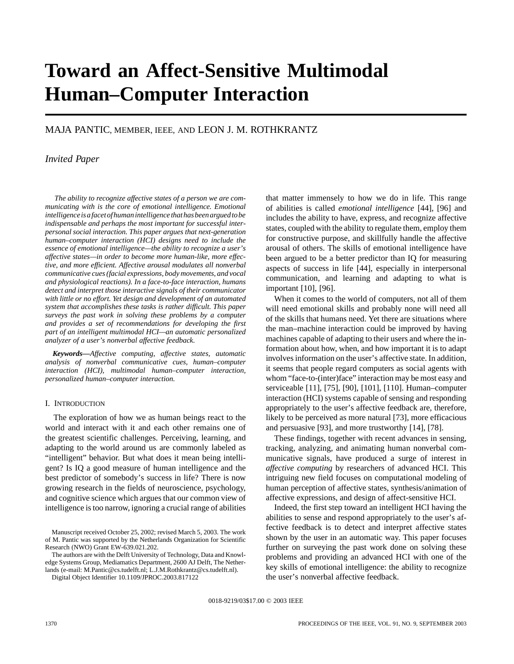# **Toward an Affect-Sensitive Multimodal Human–Computer Interaction**

# MAJA PANTIC, MEMBER, IEEE, AND LEON J. M. ROTHKRANTZ

# *Invited Paper*

*The ability to recognize affective states of a person we are communicating with is the core of emotional intelligence. Emotional intelligenceisafacetofhumanintelligencethathasbeenarguedtobe indispensable and perhaps the most important for successful interpersonal social interaction. This paper argues that next-generation human–computer interaction (HCI) designs need to include the essence of emotional intelligence—the ability to recognize a user's affective states—in order to become more human-like, more effective, and more efficient. Affective arousal modulates all nonverbal communicative cues (facial expressions, body movements, and vocal and physiological reactions). In a face-to-face interaction, humans detect and interpret those interactive signals of their communicator with little or no effort. Yet design and development of an automated system that accomplishes these tasks is rather difficult. This paper surveys the past work in solving these problems by a computer and provides a set of recommendations for developing the first part of an intelligent multimodal HCI—an automatic personalized analyzer of a user's nonverbal affective feedback.*

*Keywords—Affective computing, affective states, automatic analysis of nonverbal communicative cues, human–computer interaction (HCI), multimodal human–computer interaction, personalized human–computer interaction.*

#### I. INTRODUCTION

The exploration of how we as human beings react to the world and interact with it and each other remains one of the greatest scientific challenges. Perceiving, learning, and adapting to the world around us are commonly labeled as "intelligent" behavior. But what does it mean being intelligent? Is IQ a good measure of human intelligence and the best predictor of somebody's success in life? There is now growing research in the fields of neuroscience, psychology, and cognitive science which argues that our common view of intelligence is too narrow, ignoring a crucial range of abilities

Manuscript received October 25, 2002; revised March 5, 2003. The work of M. Pantic was supported by the Netherlands Organization for Scientific Research (NWO) Grant EW-639.021.202.

The authors are with the Delft University of Technology, Data and Knowledge Systems Group, Mediamatics Department, 2600 AJ Delft, The Netherlands (e-mail: M.Pantic@cs.tudelft.nl; L.J.M.Rothkrantz@cs.tudelft.nl).

that matter immensely to how we do in life. This range of abilities is called *emotional intelligence* [44], [96] and includes the ability to have, express, and recognize affective states, coupled with the ability to regulate them, employ them for constructive purpose, and skillfully handle the affective arousal of others. The skills of emotional intelligence have been argued to be a better predictor than IQ for measuring aspects of success in life [44], especially in interpersonal communication, and learning and adapting to what is important [10], [96].

When it comes to the world of computers, not all of them will need emotional skills and probably none will need all of the skills that humans need. Yet there are situations where the man–machine interaction could be improved by having machines capable of adapting to their users and where the information about how, when, and how important it is to adapt involves information on the user's affective state. In addition, it seems that people regard computers as social agents with whom "face-to-(inter)face" interaction may be most easy and serviceable [11], [75], [90], [101], [110]. Human–computer interaction (HCI) systems capable of sensing and responding appropriately to the user's affective feedback are, therefore, likely to be perceived as more natural [73], more efficacious and persuasive [93], and more trustworthy [14], [78].

These findings, together with recent advances in sensing, tracking, analyzing, and animating human nonverbal communicative signals, have produced a surge of interest in *affective computing* by researchers of advanced HCI. This intriguing new field focuses on computational modeling of human perception of affective states, synthesis/animation of affective expressions, and design of affect-sensitive HCI.

Indeed, the first step toward an intelligent HCI having the abilities to sense and respond appropriately to the user's affective feedback is to detect and interpret affective states shown by the user in an automatic way. This paper focuses further on surveying the past work done on solving these problems and providing an advanced HCI with one of the key skills of emotional intelligence: the ability to recognize the user's nonverbal affective feedback.

Digital Object Identifier 10.1109/JPROC.2003.817122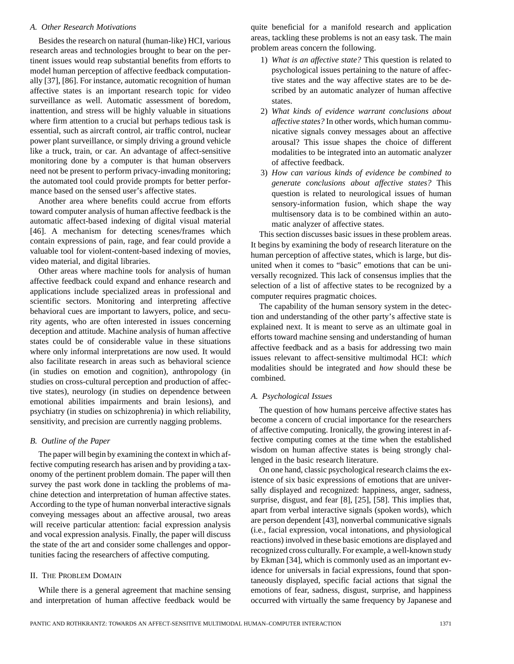# *A. Other Research Motivations*

Besides the research on natural (human-like) HCI, various research areas and technologies brought to bear on the pertinent issues would reap substantial benefits from efforts to model human perception of affective feedback computationally [37], [86]. For instance, automatic recognition of human affective states is an important research topic for video surveillance as well. Automatic assessment of boredom, inattention, and stress will be highly valuable in situations where firm attention to a crucial but perhaps tedious task is essential, such as aircraft control, air traffic control, nuclear power plant surveillance, or simply driving a ground vehicle like a truck, train, or car. An advantage of affect-sensitive monitoring done by a computer is that human observers need not be present to perform privacy-invading monitoring; the automated tool could provide prompts for better performance based on the sensed user's affective states.

Another area where benefits could accrue from efforts toward computer analysis of human affective feedback is the automatic affect-based indexing of digital visual material [46]. A mechanism for detecting scenes/frames which contain expressions of pain, rage, and fear could provide a valuable tool for violent-content-based indexing of movies, video material, and digital libraries.

Other areas where machine tools for analysis of human affective feedback could expand and enhance research and applications include specialized areas in professional and scientific sectors. Monitoring and interpreting affective behavioral cues are important to lawyers, police, and security agents, who are often interested in issues concerning deception and attitude. Machine analysis of human affective states could be of considerable value in these situations where only informal interpretations are now used. It would also facilitate research in areas such as behavioral science (in studies on emotion and cognition), anthropology (in studies on cross-cultural perception and production of affective states), neurology (in studies on dependence between emotional abilities impairments and brain lesions), and psychiatry (in studies on schizophrenia) in which reliability, sensitivity, and precision are currently nagging problems.

## *B. Outline of the Paper*

The paper will begin by examining the context in which affective computing research has arisen and by providing a taxonomy of the pertinent problem domain. The paper will then survey the past work done in tackling the problems of machine detection and interpretation of human affective states. According to the type of human nonverbal interactive signals conveying messages about an affective arousal, two areas will receive particular attention: facial expression analysis and vocal expression analysis. Finally, the paper will discuss the state of the art and consider some challenges and opportunities facing the researchers of affective computing.

# II. THE PROBLEM DOMAIN

While there is a general agreement that machine sensing and interpretation of human affective feedback would be quite beneficial for a manifold research and application areas, tackling these problems is not an easy task. The main problem areas concern the following.

- 1) *What is an affective state?* This question is related to psychological issues pertaining to the nature of affective states and the way affective states are to be described by an automatic analyzer of human affective states.
- 2) *What kinds of evidence warrant conclusions about affective states?* In other words, which human communicative signals convey messages about an affective arousal? This issue shapes the choice of different modalities to be integrated into an automatic analyzer of affective feedback.
- 3) *How can various kinds of evidence be combined to generate conclusions about affective states?* This question is related to neurological issues of human sensory-information fusion, which shape the way multisensory data is to be combined within an automatic analyzer of affective states.

This section discusses basic issues in these problem areas. It begins by examining the body of research literature on the human perception of affective states, which is large, but disunited when it comes to "basic" emotions that can be universally recognized. This lack of consensus implies that the selection of a list of affective states to be recognized by a computer requires pragmatic choices.

The capability of the human sensory system in the detection and understanding of the other party's affective state is explained next. It is meant to serve as an ultimate goal in efforts toward machine sensing and understanding of human affective feedback and as a basis for addressing two main issues relevant to affect-sensitive multimodal HCI: *which* modalities should be integrated and *how* should these be combined.

### *A. Psychological Issues*

The question of how humans perceive affective states has become a concern of crucial importance for the researchers of affective computing. Ironically, the growing interest in affective computing comes at the time when the established wisdom on human affective states is being strongly challenged in the basic research literature.

On one hand, classic psychological research claims the existence of six basic expressions of emotions that are universally displayed and recognized: happiness, anger, sadness, surprise, disgust, and fear [8], [25], [58]. This implies that, apart from verbal interactive signals (spoken words), which are person dependent [43], nonverbal communicative signals (i.e., facial expression, vocal intonations, and physiological reactions) involved in these basic emotions are displayed and recognized cross culturally. For example, a well-known study by Ekman [34], which is commonly used as an important evidence for universals in facial expressions, found that spontaneously displayed, specific facial actions that signal the emotions of fear, sadness, disgust, surprise, and happiness occurred with virtually the same frequency by Japanese and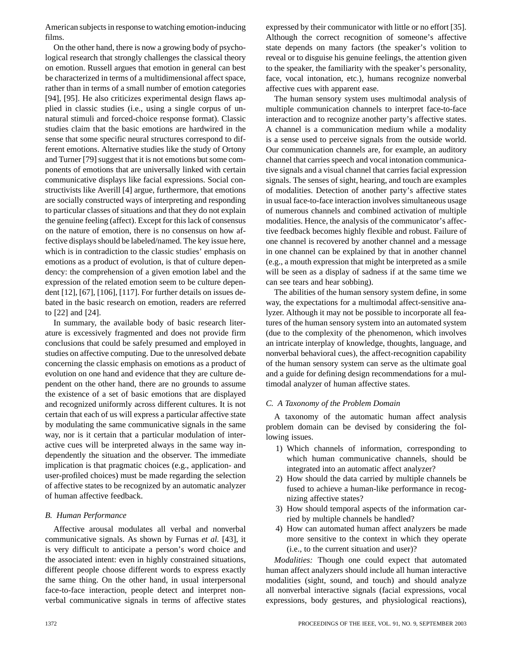American subjects in response to watching emotion-inducing films.

On the other hand, there is now a growing body of psychological research that strongly challenges the classical theory on emotion. Russell argues that emotion in general can best be characterized in terms of a multidimensional affect space, rather than in terms of a small number of emotion categories [94], [95]. He also criticizes experimental design flaws applied in classic studies (i.e., using a single corpus of unnatural stimuli and forced-choice response format). Classic studies claim that the basic emotions are hardwired in the sense that some specific neural structures correspond to different emotions. Alternative studies like the study of Ortony and Turner [79] suggest that it is not emotions but some components of emotions that are universally linked with certain communicative displays like facial expressions. Social constructivists like Averill [4] argue, furthermore, that emotions are socially constructed ways of interpreting and responding to particular classes of situations and that they do not explain the genuine feeling (affect). Except for this lack of consensus on the nature of emotion, there is no consensus on how affective displays should be labeled/named. The key issue here, which is in contradiction to the classic studies' emphasis on emotions as a product of evolution, is that of culture dependency: the comprehension of a given emotion label and the expression of the related emotion seem to be culture dependent [12], [67], [106], [117]. For further details on issues debated in the basic research on emotion, readers are referred to [22] and [24].

In summary, the available body of basic research literature is excessively fragmented and does not provide firm conclusions that could be safely presumed and employed in studies on affective computing. Due to the unresolved debate concerning the classic emphasis on emotions as a product of evolution on one hand and evidence that they are culture dependent on the other hand, there are no grounds to assume the existence of a set of basic emotions that are displayed and recognized uniformly across different cultures. It is not certain that each of us will express a particular affective state by modulating the same communicative signals in the same way, nor is it certain that a particular modulation of interactive cues will be interpreted always in the same way independently the situation and the observer. The immediate implication is that pragmatic choices (e.g., application- and user-profiled choices) must be made regarding the selection of affective states to be recognized by an automatic analyzer of human affective feedback.

#### *B. Human Performance*

Affective arousal modulates all verbal and nonverbal communicative signals. As shown by Furnas *et al.* [43], it is very difficult to anticipate a person's word choice and the associated intent: even in highly constrained situations, different people choose different words to express exactly the same thing. On the other hand, in usual interpersonal face-to-face interaction, people detect and interpret nonverbal communicative signals in terms of affective states expressed by their communicator with little or no effort [35]. Although the correct recognition of someone's affective state depends on many factors (the speaker's volition to reveal or to disguise his genuine feelings, the attention given to the speaker, the familiarity with the speaker's personality, face, vocal intonation, etc.), humans recognize nonverbal affective cues with apparent ease.

The human sensory system uses multimodal analysis of multiple communication channels to interpret face-to-face interaction and to recognize another party's affective states. A channel is a communication medium while a modality is a sense used to perceive signals from the outside world. Our communication channels are, for example, an auditory channel that carries speech and vocal intonation communicative signals and a visual channel that carries facial expression signals. The senses of sight, hearing, and touch are examples of modalities. Detection of another party's affective states in usual face-to-face interaction involves simultaneous usage of numerous channels and combined activation of multiple modalities. Hence, the analysis of the communicator's affective feedback becomes highly flexible and robust. Failure of one channel is recovered by another channel and a message in one channel can be explained by that in another channel (e.g., a mouth expression that might be interpreted as a smile will be seen as a display of sadness if at the same time we can see tears and hear sobbing).

The abilities of the human sensory system define, in some way, the expectations for a multimodal affect-sensitive analyzer. Although it may not be possible to incorporate all features of the human sensory system into an automated system (due to the complexity of the phenomenon, which involves an intricate interplay of knowledge, thoughts, language, and nonverbal behavioral cues), the affect-recognition capability of the human sensory system can serve as the ultimate goal and a guide for defining design recommendations for a multimodal analyzer of human affective states.

#### *C. A Taxonomy of the Problem Domain*

A taxonomy of the automatic human affect analysis problem domain can be devised by considering the following issues.

- 1) Which channels of information, corresponding to which human communicative channels, should be integrated into an automatic affect analyzer?
- 2) How should the data carried by multiple channels be fused to achieve a human-like performance in recognizing affective states?
- 3) How should temporal aspects of the information carried by multiple channels be handled?
- 4) How can automated human affect analyzers be made more sensitive to the context in which they operate (i.e., to the current situation and user)?

*Modalities:* Though one could expect that automated human affect analyzers should include all human interactive modalities (sight, sound, and touch) and should analyze all nonverbal interactive signals (facial expressions, vocal expressions, body gestures, and physiological reactions),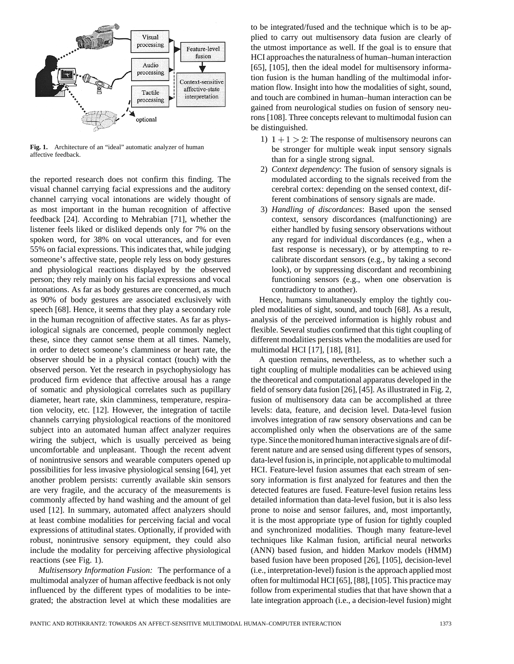

**Fig. 1.** Architecture of an "ideal" automatic analyzer of human affective feedback.

the reported research does not confirm this finding. The visual channel carrying facial expressions and the auditory channel carrying vocal intonations are widely thought of as most important in the human recognition of affective feedback [24]. According to Mehrabian [71], whether the listener feels liked or disliked depends only for 7% on the spoken word, for 38% on vocal utterances, and for even 55% on facial expressions. This indicates that, while judging someone's affective state, people rely less on body gestures and physiological reactions displayed by the observed person; they rely mainly on his facial expressions and vocal intonations. As far as body gestures are concerned, as much as 90% of body gestures are associated exclusively with speech [68]. Hence, it seems that they play a secondary role in the human recognition of affective states. As far as physiological signals are concerned, people commonly neglect these, since they cannot sense them at all times. Namely, in order to detect someone's clamminess or heart rate, the observer should be in a physical contact (touch) with the observed person. Yet the research in psychophysiology has produced firm evidence that affective arousal has a range of somatic and physiological correlates such as pupillary diameter, heart rate, skin clamminess, temperature, respiration velocity, etc. [12]. However, the integration of tactile channels carrying physiological reactions of the monitored subject into an automated human affect analyzer requires wiring the subject, which is usually perceived as being uncomfortable and unpleasant. Though the recent advent of nonintrusive sensors and wearable computers opened up possibilities for less invasive physiological sensing [64], yet another problem persists: currently available skin sensors are very fragile, and the accuracy of the measurements is commonly affected by hand washing and the amount of gel used [12]. In summary, automated affect analyzers should at least combine modalities for perceiving facial and vocal expressions of attitudinal states. Optionally, if provided with robust, nonintrusive sensory equipment, they could also include the modality for perceiving affective physiological reactions (see Fig. 1).

*Multisensory Information Fusion:* The performance of a multimodal analyzer of human affective feedback is not only influenced by the different types of modalities to be integrated; the abstraction level at which these modalities are to be integrated/fused and the technique which is to be applied to carry out multisensory data fusion are clearly of the utmost importance as well. If the goal is to ensure that HCI approaches the naturalness of human–human interaction [65], [105], then the ideal model for multisensory information fusion is the human handling of the multimodal information flow. Insight into how the modalities of sight, sound, and touch are combined in human–human interaction can be gained from neurological studies on fusion of sensory neurons [108]. Three concepts relevant to multimodal fusion can be distinguished.

- 1)  $1 + 1 > 2$ : The response of multisensory neurons can be stronger for multiple weak input sensory signals than for a single strong signal.
- 2) *Context dependency*: The fusion of sensory signals is modulated according to the signals received from the cerebral cortex: depending on the sensed context, different combinations of sensory signals are made.
- 3) *Handling of discordances*: Based upon the sensed context, sensory discordances (malfunctioning) are either handled by fusing sensory observations without any regard for individual discordances (e.g., when a fast response is necessary), or by attempting to recalibrate discordant sensors (e.g., by taking a second look), or by suppressing discordant and recombining functioning sensors (e.g., when one observation is contradictory to another).

Hence, humans simultaneously employ the tightly coupled modalities of sight, sound, and touch [68]. As a result, analysis of the perceived information is highly robust and flexible. Several studies confirmed that this tight coupling of different modalities persists when the modalities are used for multimodal HCI [17], [18], [81].

A question remains, nevertheless, as to whether such a tight coupling of multiple modalities can be achieved using the theoretical and computational apparatus developed in the field of sensory data fusion [26], [45]. As illustrated in Fig. 2, fusion of multisensory data can be accomplished at three levels: data, feature, and decision level. Data-level fusion involves integration of raw sensory observations and can be accomplished only when the observations are of the same type. Since the monitored human interactive signals are of different nature and are sensed using different types of sensors, data-level fusion is, in principle, not applicable to multimodal HCI. Feature-level fusion assumes that each stream of sensory information is first analyzed for features and then the detected features are fused. Feature-level fusion retains less detailed information than data-level fusion, but it is also less prone to noise and sensor failures, and, most importantly, it is the most appropriate type of fusion for tightly coupled and synchronized modalities. Though many feature-level techniques like Kalman fusion, artificial neural networks (ANN) based fusion, and hidden Markov models (HMM) based fusion have been proposed [26], [105], decision-level (i.e., interpretation-level) fusion is the approach applied most often for multimodal HCI [65], [88], [105]. This practice may follow from experimental studies that that have shown that a late integration approach (i.e., a decision-level fusion) might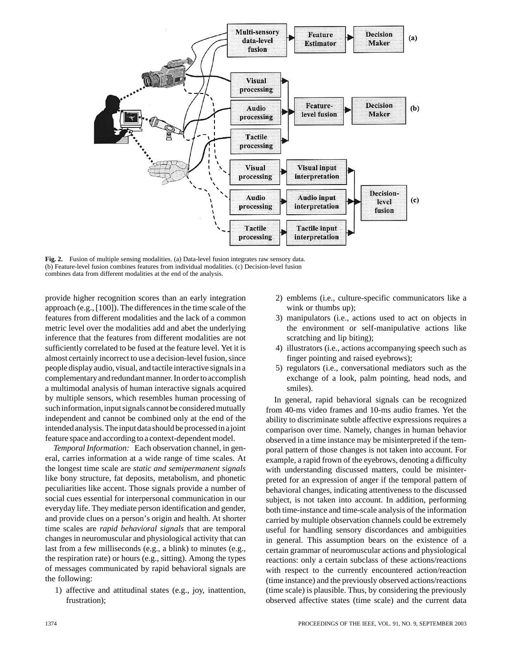

Fig. 2. Fusion of multiple sensing modalities. (a) Data-level fusion integrates raw sensory data. (b) Feature-level fusion combines features from individual modalities. (c) Decision-level fusion combines data from different modalities at the end of the analysis.

provide higher recognition scores than an early integration approach (e.g., [100]). The differences in the time scale of the features from different modalities and the lack of a common metric level over the modalities add and abet the underlying inference that the features from different modalities are not sufficiently correlated to be fused at the feature level. Yet it is almost certainly incorrect to use a decision-level fusion, since people display audio, visual, and tactile interactive signals in a complementary and redundant manner.In orderto accomplish a multimodal analysis of human interactive signals acquired by multiple sensors, which resembles human processing of such information, input signals cannot be considered mutually independent and cannot be combined only at the end of the intended analysis. The input data should be processed in a joint feature space and according to a context-dependent model.

*Temporal Information:* Each observation channel, in general, carries information at a wide range of time scales. At the longest time scale are *static and semipermanent signals* like bony structure, fat deposits, metabolism, and phonetic peculiarities like accent. Those signals provide a number of social cues essential for interpersonal communication in our everyday life. They mediate person identification and gender, and provide clues on a person's origin and health. At shorter time scales are *rapid behavioral signals* that are temporal changes in neuromuscular and physiological activity that can last from a few milliseconds (e.g., a blink) to minutes (e.g., the respiration rate) or hours (e.g., sitting). Among the types of messages communicated by rapid behavioral signals are the following:

1) affective and attitudinal states (e.g., joy, inattention, frustration);

- 2) emblems (i.e., culture-specific communicators like a wink or thumbs up);
- 3) manipulators (i.e., actions used to act on objects in the environment or self-manipulative actions like scratching and lip biting);
- 4) illustrators (i.e., actions accompanying speech such as finger pointing and raised eyebrows);
- 5) regulators (i.e., conversational mediators such as the exchange of a look, palm pointing, head nods, and smiles).

In general, rapid behavioral signals can be recognized from 40-ms video frames and 10-ms audio frames. Yet the ability to discriminate subtle affective expressions requires a comparison over time. Namely, changes in human behavior observed in a time instance may be misinterpreted if the temporal pattern of those changes is not taken into account. For example, a rapid frown of the eyebrows, denoting a difficulty with understanding discussed matters, could be misinterpreted for an expression of anger if the temporal pattern of behavioral changes, indicating attentiveness to the discussed subject, is not taken into account. In addition, performing both time-instance and time-scale analysis of the information carried by multiple observation channels could be extremely useful for handling sensory discordances and ambiguities in general. This assumption bears on the existence of a certain grammar of neuromuscular actions and physiological reactions: only a certain subclass of these actions/reactions with respect to the currently encountered action/reaction (time instance) and the previously observed actions/reactions (time scale) is plausible. Thus, by considering the previously observed affective states (time scale) and the current data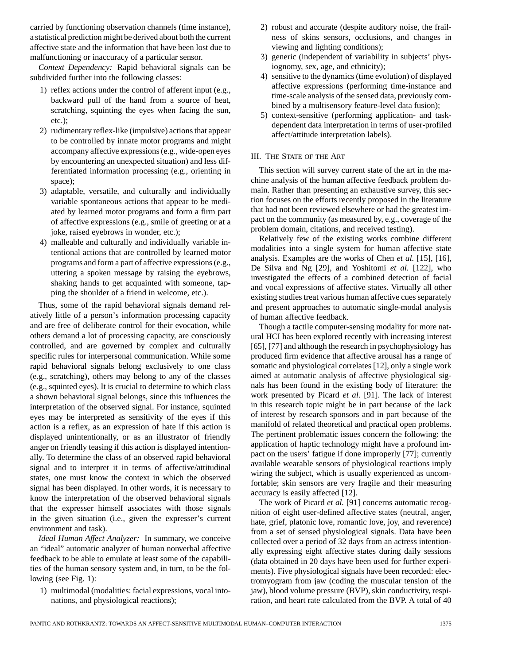carried by functioning observation channels (time instance), a statistical prediction might be derived about both the current affective state and the information that have been lost due to malfunctioning or inaccuracy of a particular sensor.

*Context Dependency:* Rapid behavioral signals can be subdivided further into the following classes:

- 1) reflex actions under the control of afferent input (e.g., backward pull of the hand from a source of heat, scratching, squinting the eyes when facing the sun, etc.);
- 2) rudimentary reflex-like (impulsive) actions that appear to be controlled by innate motor programs and might accompany affective expressions (e.g., wide-open eyes by encountering an unexpected situation) and less differentiated information processing (e.g., orienting in space);
- 3) adaptable, versatile, and culturally and individually variable spontaneous actions that appear to be mediated by learned motor programs and form a firm part of affective expressions (e.g., smile of greeting or at a joke, raised eyebrows in wonder, etc.);
- 4) malleable and culturally and individually variable intentional actions that are controlled by learned motor programs and form a part of affective expressions (e.g., uttering a spoken message by raising the eyebrows, shaking hands to get acquainted with someone, tapping the shoulder of a friend in welcome, etc.).

Thus, some of the rapid behavioral signals demand relatively little of a person's information processing capacity and are free of deliberate control for their evocation, while others demand a lot of processing capacity, are consciously controlled, and are governed by complex and culturally specific rules for interpersonal communication. While some rapid behavioral signals belong exclusively to one class (e.g., scratching), others may belong to any of the classes (e.g., squinted eyes). It is crucial to determine to which class a shown behavioral signal belongs, since this influences the interpretation of the observed signal. For instance, squinted eyes may be interpreted as sensitivity of the eyes if this action is a reflex, as an expression of hate if this action is displayed unintentionally, or as an illustrator of friendly anger on friendly teasing if this action is displayed intentionally. To determine the class of an observed rapid behavioral signal and to interpret it in terms of affective/attitudinal states, one must know the context in which the observed signal has been displayed. In other words, it is necessary to know the interpretation of the observed behavioral signals that the expresser himself associates with those signals in the given situation (i.e., given the expresser's current environment and task).

*Ideal Human Affect Analyzer:* In summary, we conceive an "ideal" automatic analyzer of human nonverbal affective feedback to be able to emulate at least some of the capabilities of the human sensory system and, in turn, to be the following (see Fig. 1):

1) multimodal (modalities: facial expressions, vocal intonations, and physiological reactions);

- 2) robust and accurate (despite auditory noise, the frailness of skins sensors, occlusions, and changes in viewing and lighting conditions);
- 3) generic (independent of variability in subjects' physiognomy, sex, age, and ethnicity);
- 4) sensitive to the dynamics (time evolution) of displayed affective expressions (performing time-instance and time-scale analysis of the sensed data, previously combined by a multisensory feature-level data fusion);
- 5) context-sensitive (performing application- and taskdependent data interpretation in terms of user-profiled affect/attitude interpretation labels).

## III. THE STATE OF THE ART

This section will survey current state of the art in the machine analysis of the human affective feedback problem domain. Rather than presenting an exhaustive survey, this section focuses on the efforts recently proposed in the literature that had not been reviewed elsewhere or had the greatest impact on the community (as measured by, e.g., coverage of the problem domain, citations, and received testing).

Relatively few of the existing works combine different modalities into a single system for human affective state analysis. Examples are the works of Chen *et al.* [15], [16], De Silva and Ng [29], and Yoshitomi *et al.* [122], who investigated the effects of a combined detection of facial and vocal expressions of affective states. Virtually all other existing studies treat various human affective cues separately and present approaches to automatic single-modal analysis of human affective feedback.

Though a tactile computer-sensing modality for more natural HCI has been explored recently with increasing interest [65], [77] and although the research in psychophysiology has produced firm evidence that affective arousal has a range of somatic and physiological correlates [12], only a single work aimed at automatic analysis of affective physiological signals has been found in the existing body of literature: the work presented by Picard *et al.* [91]. The lack of interest in this research topic might be in part because of the lack of interest by research sponsors and in part because of the manifold of related theoretical and practical open problems. The pertinent problematic issues concern the following: the application of haptic technology might have a profound impact on the users' fatigue if done improperly [77]; currently available wearable sensors of physiological reactions imply wiring the subject, which is usually experienced as uncomfortable; skin sensors are very fragile and their measuring accuracy is easily affected [12].

The work of Picard *et al.* [91] concerns automatic recognition of eight user-defined affective states (neutral, anger, hate, grief, platonic love, romantic love, joy, and reverence) from a set of sensed physiological signals. Data have been collected over a period of 32 days from an actress intentionally expressing eight affective states during daily sessions (data obtained in 20 days have been used for further experiments). Five physiological signals have been recorded: electromyogram from jaw (coding the muscular tension of the jaw), blood volume pressure (BVP), skin conductivity, respiration, and heart rate calculated from the BVP. A total of 40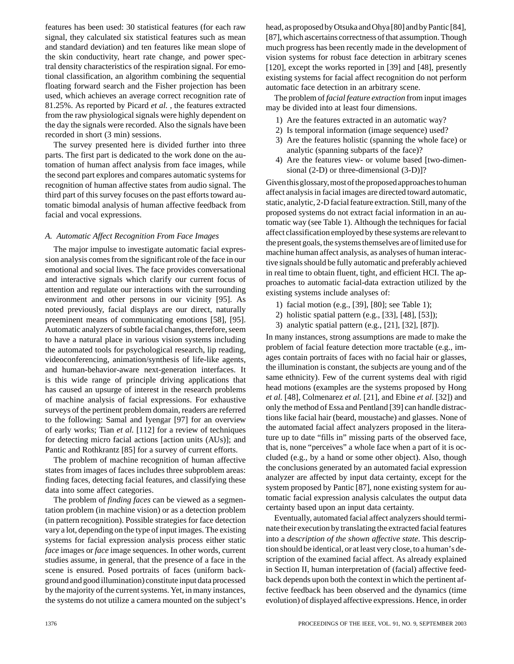features has been used: 30 statistical features (for each raw signal, they calculated six statistical features such as mean and standard deviation) and ten features like mean slope of the skin conductivity, heart rate change, and power spectral density characteristics of the respiration signal. For emotional classification, an algorithm combining the sequential floating forward search and the Fisher projection has been used, which achieves an average correct recognition rate of 81.25%. As reported by Picard *et al.* , the features extracted from the raw physiological signals were highly dependent on the day the signals were recorded. Also the signals have been recorded in short (3 min) sessions.

The survey presented here is divided further into three parts. The first part is dedicated to the work done on the automation of human affect analysis from face images, while the second part explores and compares automatic systems for recognition of human affective states from audio signal. The third part of this survey focuses on the past efforts toward automatic bimodal analysis of human affective feedback from facial and vocal expressions.

#### *A. Automatic Affect Recognition From Face Images*

The major impulse to investigate automatic facial expression analysis comes from the significant role of the face in our emotional and social lives. The face provides conversational and interactive signals which clarify our current focus of attention and regulate our interactions with the surrounding environment and other persons in our vicinity [95]. As noted previously, facial displays are our direct, naturally preeminent means of communicating emotions [58], [95]. Automatic analyzers of subtle facial changes, therefore, seem to have a natural place in various vision systems including the automated tools for psychological research, lip reading, videoconferencing, animation/synthesis of life-like agents, and human-behavior-aware next-generation interfaces. It is this wide range of principle driving applications that has caused an upsurge of interest in the research problems of machine analysis of facial expressions. For exhaustive surveys of the pertinent problem domain, readers are referred to the following: Samal and Iyengar [97] for an overview of early works; Tian *et al.* [112] for a review of techniques for detecting micro facial actions [action units (AUs)]; and Pantic and Rothkrantz [85] for a survey of current efforts.

The problem of machine recognition of human affective states from images of faces includes three subproblem areas: finding faces, detecting facial features, and classifying these data into some affect categories.

The problem of *finding faces* can be viewed as a segmentation problem (in machine vision) or as a detection problem (in pattern recognition). Possible strategies for face detection vary a lot, depending on the type of input images. The existing systems for facial expression analysis process either static *face* images or *face* image sequences. In other words, current studies assume, in general, that the presence of a face in the scene is ensured. Posed portraits of faces (uniform background and good illumination) constitute input data processed by the majority of the current systems. Yet, in many instances, the systems do not utilize a camera mounted on the subject's head, as proposed by Otsuka and Ohya [80] and by Pantic [84], [87], which ascertains correctness of that assumption. Though much progress has been recently made in the development of vision systems for robust face detection in arbitrary scenes [120], except the works reported in [39] and [48], presently existing systems for facial affect recognition do not perform automatic face detection in an arbitrary scene.

The problem of *facial feature extraction* from input images may be divided into at least four dimensions.

- 1) Are the features extracted in an automatic way?
- 2) Is temporal information (image sequence) used?
- 3) Are the features holistic (spanning the whole face) or analytic (spanning subparts of the face)?
- 4) Are the features view- or volume based [two-dimensional (2-D) or three-dimensional (3-D)]?

Giventhisglossary,mostoftheproposedapproachestohuman affect analysis in facial images are directed toward automatic, static, analytic, 2-D facial feature extraction. Still, many of the proposed systems do not extract facial information in an automatic way (see Table 1). Although the techniques for facial affect classification employed by these systems are relevant to the present goals, the systems themselves are of limited use for machine human affect analysis, as analyses of human interactive signals should be fully automatic and preferably achieved in real time to obtain fluent, tight, and efficient HCI. The approaches to automatic facial-data extraction utilized by the existing systems include analyses of:

- 1) facial motion (e.g., [39], [80]; see Table 1);
- 2) holistic spatial pattern (e.g., [33], [48], [53]);
- 3) analytic spatial pattern (e.g., [21], [32], [87]).

In many instances, strong assumptions are made to make the problem of facial feature detection more tractable (e.g., images contain portraits of faces with no facial hair or glasses, the illumination is constant, the subjects are young and of the same ethnicity). Few of the current systems deal with rigid head motions (examples are the systems proposed by Hong *et al.* [48], Colmenarez *et al.* [21], and Ebine *et al.* [32]) and only the method of Essa and Pentland [39] can handle distractions like facial hair (beard, moustache) and glasses. None of the automated facial affect analyzers proposed in the literature up to date "fills in" missing parts of the observed face, that is, none "perceives" a whole face when a part of it is occluded (e.g., by a hand or some other object). Also, though the conclusions generated by an automated facial expression analyzer are affected by input data certainty, except for the system proposed by Pantic [87], none existing system for automatic facial expression analysis calculates the output data certainty based upon an input data certainty.

Eventually, automated facial affect analyzers should terminate their execution by translating the extracted facial features into a *description of the shown affective state*. This description should be identical, or at least very close, to a human's description of the examined facial affect. As already explained in Section II, human interpretation of (facial) affective feedback depends upon both the context in which the pertinent affective feedback has been observed and the dynamics (time evolution) of displayed affective expressions. Hence, in order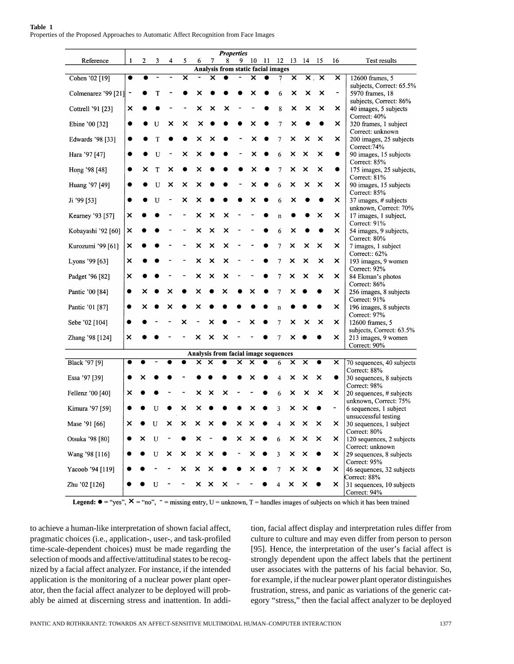| Table 1                                                                                |  |  |
|----------------------------------------------------------------------------------------|--|--|
| Properties of the Proposed Approaches to Automatic Affect Recognition from Face Images |  |  |

| <b>Properties</b>   |   |   |             |   |   |   |   |   |   |    |    |                                      |    |    |          |                          |                                                                       |
|---------------------|---|---|-------------|---|---|---|---|---|---|----|----|--------------------------------------|----|----|----------|--------------------------|-----------------------------------------------------------------------|
| Reference           | 1 | 2 | 3           | 4 | 5 | 6 | 7 | 8 | 9 | 10 | 11 | 12                                   | 13 | 14 | 15       | 16                       | Test results                                                          |
|                     |   |   |             |   |   |   |   |   |   |    |    | Analysis from static facial images   |    |    |          |                          |                                                                       |
| Cohen '02 [19]      |   |   |             |   | × |   | × |   |   | ×  |    | 7                                    | ×  | ×  | $\times$ | ×                        | 12600 frames, 5                                                       |
| Colmenarez '99 [21] |   |   | т           |   |   | × |   |   |   | ×  |    | 6                                    | ×  | ×  | ×        | $\overline{\phantom{0}}$ | subjects, Correct: 65.5%<br>5970 frames, 18<br>subjects, Correct: 86% |
| Cottrell '91 [23]   | × |   |             |   |   | × | × | x |   |    |    | 8                                    | ×  | ×  | ×        | ×                        | 40 images, 5 subjects<br>Correct: 40%                                 |
| Ebine '00 [32]      |   |   | U           | × | × | × |   |   |   | ×  |    | $\overline{7}$                       | ×  |    |          | ×                        | 320 frames, 1 subject<br>Correct: unknown                             |
| Edwards '98 [33]    |   |   | т           |   |   | × |   |   |   |    |    | 7                                    | ×  | ×  | ×        | ×                        | 200 images, 25 subjects<br>Correct:74%                                |
| Hara '97 [47]       |   |   | U           |   | × | × |   |   |   |    |    | 6                                    | ×  | ×  | ×        | $\bullet$                | 90 images, 15 subjects<br>Correct: 85%                                |
| Hong '98 [48]       |   | x | T           | × |   |   |   |   |   |    |    | 7                                    | ×  | ×  | ×        |                          | 175 images, 25 subjects,<br>Correct: 81%                              |
| Huang '97 [49]      |   |   | U           | × | x | × |   |   |   |    |    | 6                                    | x  | ×  | ×        | ×                        | 90 images, 15 subjects<br>Correct: 85%                                |
| Ji '99 [53]         |   |   | U           |   | × | × |   |   |   |    |    | 6                                    | ×  |    |          | ×                        | 37 images, # subjects<br>unknown, Correct: 70%                        |
| Kearney '93 [57]    | × |   |             |   |   | × | × | × |   |    |    | $\mathbf n$                          |    |    | ×        | ×                        | 17 images, 1 subject,<br>Correct: 91%                                 |
| Kobayashi '92 [60]  | × |   |             |   |   | × | × | × |   |    |    | 6                                    | ×  |    |          | ×                        | 54 images, 9 subjects,<br>Correct: 80%                                |
| Kurozumi '99 [61]   | × |   |             |   |   | × | × | × |   |    |    | $\overline{7}$                       | ×  | ×  | ×        | ×                        | 7 images, 1 subject<br>Correct:: 62%                                  |
| Lyons '99 [63]      | × |   |             |   |   | × | × | × |   |    |    | 7                                    | ×  | ×  | ×        | ×                        | 193 images, 9 women<br>Correct: 92%                                   |
| Padget '96 [82]     | × |   |             |   |   | x | × | × |   |    |    | 7                                    | ×  | ×  | ×        | ×                        | 84 Ekman's photos<br>Correct: 86%                                     |
| Pantic '00 [84]     | 9 |   |             | x |   | x |   | x |   |    |    | 7                                    | ×  |    |          | ×                        | 256 images, 8 subjects<br>Correct: 91%                                |
| Pantic '01 [87]     |   |   |             |   |   |   |   |   |   |    |    | $\mathbf n$                          |    |    |          | ×                        | 196 images, 8 subjects<br>Correct: 97%                                |
| Sebe '02 [104]      |   |   |             |   | × |   |   |   |   |    |    | 7                                    | ×  | ×  | ×        | ×                        | 12600 frames, 5<br>subjects, Correct: 63.5%                           |
| Zhang '98 [124]     | × |   |             |   |   | × | × | x |   |    |    | 7                                    | ×  |    |          | ×                        | 213 images, 9 women<br>Correct: 90%                                   |
|                     |   |   |             |   |   |   |   |   |   |    |    | Analysis from facial image sequences |    |    |          |                          |                                                                       |
| Black '97 [9]       |   |   |             |   |   | × | × |   | × | x  |    | 6                                    | ×  | ×  |          | ×                        | 70 sequences, 40 subjects                                             |
| Essa '97 [39]       |   |   |             |   |   |   |   |   |   |    |    | 4                                    | x  | ×  | ×        | $\bullet$                | Correct: 88%<br>30 sequences, 8 subjects                              |
| Fellenz '00 [40]    | × |   |             |   |   |   | x | × |   |    |    | 6                                    | ×  | ×  | ×        | ×                        | Correct: 98%<br>20 sequences, # subjects                              |
| Kimura '97 [59]     |   |   |             |   | x | × |   |   |   |    |    | 3                                    | ×  | ×  |          |                          | unknown, Correct: 75%<br>6 sequences, 1 subject                       |
| Mase '91 [66]       | × |   | Ħ           |   | × | × | × |   |   |    |    | Δ                                    | x. | ×  |          | ×                        | unsuccessful testing<br>30 sequences, 1 subject                       |
| Otsuka '98 [80]     |   | × | U           |   |   |   |   |   | x |    |    | 6                                    | x  | x  | ×        | ×                        | Correct: 80%<br>120 sequences, 2 subjects                             |
| Wang '98 [116]      |   |   | $\mathbf U$ | × | × | x | x |   |   | x  |    | 3                                    | ×  | ×  |          | ×                        | Correct: unknown<br>29 sequences, 8 subjects<br>Correct: 95%          |
| Yacoob '94 [119]    |   |   |             |   | × | × | × |   |   | x  |    | 7                                    | x  | ×  |          | ×                        | 46 sequences, 32 subjects<br>Correct: 88%                             |
| Zhu '02 [126]       |   |   | U           |   |   | × | × | × |   |    |    | 4                                    | ×  | ×  |          | ×.                       | 31 sequences, 10 subjects<br>Corract. 04%                             |

Legend:  $\bullet$  = "yes",  $X =$  "no",  $\bar{ }$  = missing entry, U = unknown, T = handles images of subjects on which it has been trained

to achieve a human-like interpretation of shown facial affect, pragmatic choices (i.e., application-, user-, and task-profiled time-scale-dependent choices) must be made regarding the selection of moods and affective/attitudinal states to be recognized by a facial affect analyzer. For instance, if the intended application is the monitoring of a nuclear power plant operator, then the facial affect analyzer to be deployed will probably be aimed at discerning stress and inattention. In addi-

tion, facial affect display and interpretation rules differ from culture to culture and may even differ from person to person [95]. Hence, the interpretation of the user's facial affect is strongly dependent upon the affect labels that the pertinent user associates with the patterns of his facial behavior. So, for example, if the nuclear power plant operator distinguishes frustration, stress, and panic as variations of the generic category "stress," then the facial affect analyzer to be deployed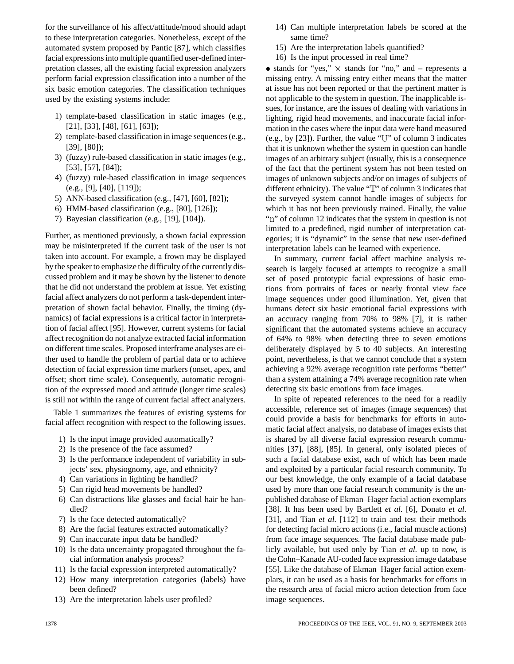for the surveillance of his affect/attitude/mood should adapt to these interpretation categories. Nonetheless, except of the automated system proposed by Pantic [87], which classifies facial expressions into multiple quantified user-defined interpretation classes, all the existing facial expression analyzers perform facial expression classification into a number of the six basic emotion categories. The classification techniques used by the existing systems include:

- 1) template-based classification in static images (e.g., [21], [33], [48], [61], [63]);
- 2) template-based classification in image sequences (e.g., [39], [80]);
- 3) (fuzzy) rule-based classification in static images (e.g., [53], [57], [84]);
- 4) (fuzzy) rule-based classification in image sequences (e.g., [9], [40], [119]);
- 5) ANN-based classification (e.g., [47], [60], [82]);
- 6) HMM-based classification (e.g., [80], [126]);
- 7) Bayesian classification (e.g., [19], [104]).

Further, as mentioned previously, a shown facial expression may be misinterpreted if the current task of the user is not taken into account. For example, a frown may be displayed by the speaker to emphasize the difficulty of the currently discussed problem and it may be shown by the listener to denote that he did not understand the problem at issue. Yet existing facial affect analyzers do not perform a task-dependent interpretation of shown facial behavior. Finally, the timing (dynamics) of facial expressions is a critical factor in interpretation of facial affect [95]. However, current systems for facial affect recognition do not analyze extracted facial information on different time scales. Proposed interframe analyses are either used to handle the problem of partial data or to achieve detection of facial expression time markers (onset, apex, and offset; short time scale). Consequently, automatic recognition of the expressed mood and attitude (longer time scales) is still not within the range of current facial affect analyzers.

Table 1 summarizes the features of existing systems for facial affect recognition with respect to the following issues.

- 1) Is the input image provided automatically?
- 2) Is the presence of the face assumed?
- 3) Is the performance independent of variability in subjects' sex, physiognomy, age, and ethnicity?
- 4) Can variations in lighting be handled?
- 5) Can rigid head movements be handled?
- 6) Can distractions like glasses and facial hair be handled?
- 7) Is the face detected automatically?
- 8) Are the facial features extracted automatically?
- 9) Can inaccurate input data be handled?
- 10) Is the data uncertainty propagated throughout the facial information analysis process?
- 11) Is the facial expression interpreted automatically?
- 12) How many interpretation categories (labels) have been defined?
- 13) Are the interpretation labels user profiled?
- 14) Can multiple interpretation labels be scored at the same time?
- 15) Are the interpretation labels quantified?
- 16) Is the input processed in real time?

stands for "yes," stands for "no," and **–** represents a missing entry. A missing entry either means that the matter at issue has not been reported or that the pertinent matter is not applicable to the system in question. The inapplicable issues, for instance, are the issues of dealing with variations in lighting, rigid head movements, and inaccurate facial information in the cases where the input data were hand measured (e.g., by [23]). Further, the value "U" of column 3 indicates that it is unknown whether the system in question can handle images of an arbitrary subject (usually, this is a consequence of the fact that the pertinent system has not been tested on images of unknown subjects and/or on images of subjects of different ethnicity). The value "T" of column 3 indicates that the surveyed system cannot handle images of subjects for which it has not been previously trained. Finally, the value "n" of column 12 indicates that the system in question is not limited to a predefined, rigid number of interpretation categories; it is "dynamic" in the sense that new user-defined interpretation labels can be learned with experience.

In summary, current facial affect machine analysis research is largely focused at attempts to recognize a small set of posed prototypic facial expressions of basic emotions from portraits of faces or nearly frontal view face image sequences under good illumination. Yet, given that humans detect six basic emotional facial expressions with an accuracy ranging from 70% to 98% [7], it is rather significant that the automated systems achieve an accuracy of 64% to 98% when detecting three to seven emotions deliberately displayed by 5 to 40 subjects. An interesting point, nevertheless, is that we cannot conclude that a system achieving a 92% average recognition rate performs "better" than a system attaining a 74% average recognition rate when detecting six basic emotions from face images.

In spite of repeated references to the need for a readily accessible, reference set of images (image sequences) that could provide a basis for benchmarks for efforts in automatic facial affect analysis, no database of images exists that is shared by all diverse facial expression research communities [37], [88], [85]. In general, only isolated pieces of such a facial database exist, each of which has been made and exploited by a particular facial research community. To our best knowledge, the only example of a facial database used by more than one facial research community is the unpublished database of Ekman–Hager facial action exemplars [38]. It has been used by Bartlett *et al.* [6], Donato *et al.* [31], and Tian *et al.* [112] to train and test their methods for detecting facial micro actions (i.e., facial muscle actions) from face image sequences. The facial database made publicly available, but used only by Tian *et al.* up to now, is the Cohn–Kanade AU-coded face expression image database [55]. Like the database of Ekman–Hager facial action exemplars, it can be used as a basis for benchmarks for efforts in the research area of facial micro action detection from face image sequences.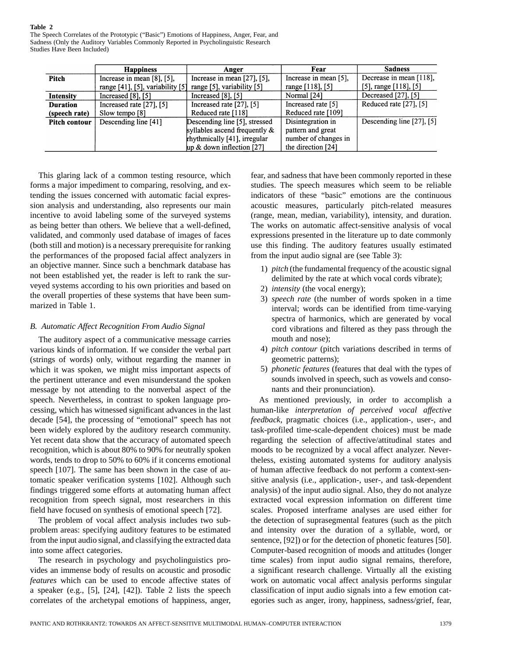This glaring lack of a common testing resource, which forms a major impediment to comparing, resolving, and extending the issues concerned with automatic facial expression analysis and understanding, also represents our main incentive to avoid labeling some of the surveyed systems as being better than others. We believe that a well-defined, validated, and commonly used database of images of faces (both still and motion) is a necessary prerequisite for ranking the performances of the proposed facial affect analyzers in an objective manner. Since such a benchmark database has not been established yet, the reader is left to rank the surveyed systems according to his own priorities and based on the overall properties of these systems that have been summarized in Table 1.

#### *B. Automatic Affect Recognition From Audio Signal*

The auditory aspect of a communicative message carries various kinds of information. If we consider the verbal part (strings of words) only, without regarding the manner in which it was spoken, we might miss important aspects of the pertinent utterance and even misunderstand the spoken message by not attending to the nonverbal aspect of the speech. Nevertheless, in contrast to spoken language processing, which has witnessed significant advances in the last decade [54], the processing of "emotional" speech has not been widely explored by the auditory research community. Yet recent data show that the accuracy of automated speech recognition, which is about 80% to 90% for neutrally spoken words, tends to drop to 50% to 60% if it concerns emotional speech [107]. The same has been shown in the case of automatic speaker verification systems [102]. Although such findings triggered some efforts at automating human affect recognition from speech signal, most researchers in this field have focused on synthesis of emotional speech [72].

The problem of vocal affect analysis includes two subproblem areas: specifying auditory features to be estimated from the input audio signal, and classifying the extracted data into some affect categories.

The research in psychology and psycholinguistics provides an immense body of results on acoustic and prosodic *features* which can be used to encode affective states of a speaker (e.g.,  $[5]$ ,  $[24]$ ,  $[42]$ ). Table 2 lists the speech correlates of the archetypal emotions of happiness, anger,

fear, and sadness that have been commonly reported in these studies. The speech measures which seem to be reliable indicators of these "basic" emotions are the continuous acoustic measures, particularly pitch-related measures (range, mean, median, variability), intensity, and duration. The works on automatic affect-sensitive analysis of vocal expressions presented in the literature up to date commonly use this finding. The auditory features usually estimated from the input audio signal are (see Table 3):

- 1) *pitch* (the fundamental frequency of the acoustic signal delimited by the rate at which vocal cords vibrate);
- 2) *intensity* (the vocal energy);
- 3) *speech rate* (the number of words spoken in a time interval; words can be identified from time-varying spectra of harmonics, which are generated by vocal cord vibrations and filtered as they pass through the mouth and nose);
- 4) *pitch contour* (pitch variations described in terms of geometric patterns);
- 5) *phonetic features* (features that deal with the types of sounds involved in speech, such as vowels and consonants and their pronunciation).

As mentioned previously, in order to accomplish a human-like *interpretation of perceived vocal affective feedback*, pragmatic choices (i.e., application-, user-, and task-profiled time-scale-dependent choices) must be made regarding the selection of affective/attitudinal states and moods to be recognized by a vocal affect analyzer. Nevertheless, existing automated systems for auditory analysis of human affective feedback do not perform a context-sensitive analysis (i.e., application-, user-, and task-dependent analysis) of the input audio signal. Also, they do not analyze extracted vocal expression information on different time scales. Proposed interframe analyses are used either for the detection of suprasegmental features (such as the pitch and intensity over the duration of a syllable, word, or sentence, [92]) or for the detection of phonetic features [50]. Computer-based recognition of moods and attitudes (longer time scales) from input audio signal remains, therefore, a significant research challenge. Virtually all the existing work on automatic vocal affect analysis performs singular classification of input audio signals into a few emotion categories such as anger, irony, happiness, sadness/grief, fear,

| The Speech Correlates of the Prototypic ("Basic") Emotions of Happiness, Anger, Fear, and |
|-------------------------------------------------------------------------------------------|
| Sadness (Only the Auditory Variables Commonly Reported in Psycholinguistic Research       |
| Studies Have Been Included)                                                               |

**Table 2**

|                      | <b>Happiness</b>                         | Anger                             | Fear                  | sadness                        |
|----------------------|------------------------------------------|-----------------------------------|-----------------------|--------------------------------|
| Pitch                | Increase in mean $[8]$ , $[5]$ ,         | Increase in mean $[27]$ , $[5]$ , | Increase in mean [5], | Decrease in mean [118],        |
|                      | range $[41]$ , $[5]$ , variability $[5]$ | range [5], variability [5]        | range [118], [5]      | [5], range $[118]$ , $[5]$     |
| Intensity            | Increased $[8]$ , $[5]$                  | Increased $[8]$ , $[5]$           | Normal [24]           | Decreased $[27]$ , $[5]$       |
| <b>Duration</b>      | Increased rate $[27]$ , $[5]$            | Increased rate $[27]$ , $[5]$     | Increased rate [5]    | Reduced rate $[27]$ , $[5]$    |
| (speech rate)        | Slow tempo [8]                           | Reduced rate [118]                | Reduced rate [109]    |                                |
| <b>Pitch contour</b> | Descending line [41]                     | Descending line [5], stressed     | Disintegration in     | Descending line $[27]$ , $[5]$ |
|                      |                                          | syllables ascend frequently $\&$  | pattern and great     |                                |
|                      |                                          | rhythmically [41], irregular      | number of changes in  |                                |
|                      |                                          | $\mu$ & down inflection [27]      | the direction [24]    |                                |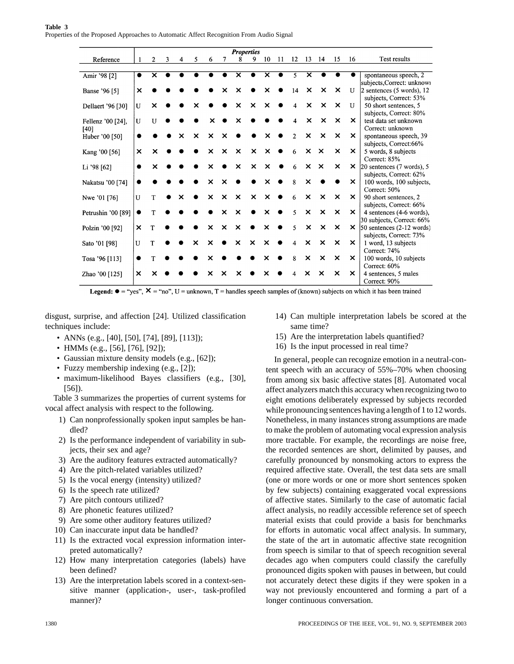|                             |           |              |   |   |                           |                           |                         | <b>Properties</b>     |    |    |    |                           |                           |                           |                           |                                                                  |
|-----------------------------|-----------|--------------|---|---|---------------------------|---------------------------|-------------------------|-----------------------|----|----|----|---------------------------|---------------------------|---------------------------|---------------------------|------------------------------------------------------------------|
| Reference                   |           | 2            | 4 | 5 | 6                         |                           | 8                       | 9                     | 10 | 11 | 12 | 13                        | 14                        | 15                        | 16                        | Test results                                                     |
| Amir '98 [2]                | $\bullet$ | ×            |   |   |                           |                           | $\overline{\textsf{x}}$ |                       | ×  |    | 5  | ×                         |                           |                           |                           | spontaneous speech, 2<br>subjects, Correct: unknowi              |
| Banse '96 [5]               | ×         |              |   |   |                           |                           | ×                       |                       |    |    | 14 | ×                         | ×                         | $\times$                  | $\mathbf{U}$              | 2 sentences $(5 \text{ words})$ , 12<br>subjects, Correct: 53%   |
| Dellaert '96 [30]           | U         | ×            |   |   |                           |                           | ×                       | x                     | ×  |    | 4  | ×                         | ×                         | $\boldsymbol{\mathsf{x}}$ | $\mathbf{U}$              | 50 short sentences, 5<br>subjects, Correct: 80%                  |
| Fellenz '00 [24],<br>$[40]$ | U         | $\mathbf{U}$ |   |   |                           |                           | X                       |                       |    |    | 4  | $\boldsymbol{\times}$     | ×                         | $\times$                  | $\times$                  | test data set unknown<br>Correct: unknown                        |
| Huber '00 [50]              |           |              | × | × | ×                         | ×                         |                         |                       |    |    | 2  | ×                         | $\boldsymbol{\mathsf{x}}$ | $\boldsymbol{\mathsf{x}}$ | $\boldsymbol{\mathsf{x}}$ | spontaneous speech, 39<br>subjects, Correct:66%                  |
| Kang '00 [56]               | ×         | ×            |   |   | $\boldsymbol{\mathsf{x}}$ | ×                         | ×                       | ×                     | x  |    | 6  | x                         | $\times$                  | $\boldsymbol{\mathsf{x}}$ | ×                         | 5 words, 8 subjects<br>Correct: 85%                              |
| Li '98 [62]                 |           | x            |   |   |                           |                           | ×                       | ×                     | ×  |    | 6  | ×                         | $\times$                  | $\times$                  | $\times$                  | $20$ sentences $(7 \text{ words})$ , 5<br>subjects, Correct: 62% |
| Nakatsu '00 [74]            |           |              |   |   | ×                         | x                         |                         |                       |    |    | 8  | ×                         |                           |                           | ×                         | 100 words, 100 subjects,<br>Correct: 50%                         |
| Nwe '01 [76]                | U         | T            | × |   | ×                         | $\boldsymbol{\mathsf{x}}$ | ×                       | $\boldsymbol{\times}$ | ×  |    | 6  | $\times$                  | ×                         | ×                         | $\times$                  | 90 short sentences, 2<br>subjects, Correct: 66%                  |
| Petrushin '00 [89]          |           | T            |   |   |                           | ×                         | ×                       |                       | ×  |    | 5  | $\boldsymbol{\mathsf{x}}$ | ×                         | $\boldsymbol{\mathsf{x}}$ | $\times$                  | 4 sentences (4-6 words),<br>30 subjects, Correct: 66%            |
| Polzin '00 [92]             | ×         | T            |   |   | ×                         | ×                         | x                       |                       |    |    | 5  | ×                         | $\boldsymbol{\mathsf{x}}$ | ×                         | ×                         | $50$ sentences $(2-12 \text{ words})$<br>subjects, Correct: 73%  |
| Sato '01 [98]               | U         | т            |   |   | ×                         |                           | ×                       | ×                     |    |    |    | ×                         | ×                         | ×                         | ×                         | 1 word, 13 subjects<br>Correct: 74%                              |
| Tosa '96 [113]              |           | т            |   |   | x                         |                           |                         |                       |    |    | 8  | ×                         | ×                         | $\times$                  | ×                         | 100 words, 10 subjects<br>Correct: 60%                           |
| Zhao '00 [125]              | ×         | ×            |   |   | ×                         | x                         | x                       |                       |    |    |    | ×                         | ×                         | ×                         | $\times$                  | 4 sentences, 5 males<br>Corract: 000                             |

**Table 3** Properties of the Proposed Approaches to Automatic Affect Recognition From Audio Signal

Legend:  $\bullet$  = "yes",  $X =$  "no", U = unknown, T = handles speech samples of (known) subjects on which it has been trained

disgust, surprise, and affection [24]. Utilized classification techniques include:

- ANNs (e.g., [40], [50], [74], [89], [113]);
- HMMs (e.g., [56], [76], [92]);
- Gaussian mixture density models (e.g., [62]);
- Fuzzy membership indexing (e.g., [2]);
- maximum-likelihood Bayes classifiers (e.g., [30], [56]).

Table 3 summarizes the properties of current systems for vocal affect analysis with respect to the following.

- 1) Can nonprofessionally spoken input samples be handled?
- 2) Is the performance independent of variability in subjects, their sex and age?
- 3) Are the auditory features extracted automatically?
- 4) Are the pitch-related variables utilized?
- 5) Is the vocal energy (intensity) utilized?
- 6) Is the speech rate utilized?
- 7) Are pitch contours utilized?
- 8) Are phonetic features utilized?
- 9) Are some other auditory features utilized?
- 10) Can inaccurate input data be handled?
- 11) Is the extracted vocal expression information interpreted automatically?
- 12) How many interpretation categories (labels) have been defined?
- 13) Are the interpretation labels scored in a context-sensitive manner (application-, user-, task-profiled manner)?
- 14) Can multiple interpretation labels be scored at the same time?
- 15) Are the interpretation labels quantified?
- 16) Is the input processed in real time?

In general, people can recognize emotion in a neutral-content speech with an accuracy of 55%–70% when choosing from among six basic affective states [8]. Automated vocal affect analyzers match this accuracy when recognizing two to eight emotions deliberately expressed by subjects recorded while pronouncing sentences having a length of 1 to 12 words. Nonetheless, in many instances strong assumptions are made to make the problem of automating vocal expression analysis more tractable. For example, the recordings are noise free, the recorded sentences are short, delimited by pauses, and carefully pronounced by nonsmoking actors to express the required affective state. Overall, the test data sets are small (one or more words or one or more short sentences spoken by few subjects) containing exaggerated vocal expressions of affective states. Similarly to the case of automatic facial affect analysis, no readily accessible reference set of speech material exists that could provide a basis for benchmarks for efforts in automatic vocal affect analysis. In summary, the state of the art in automatic affective state recognition from speech is similar to that of speech recognition several decades ago when computers could classify the carefully pronounced digits spoken with pauses in between, but could not accurately detect these digits if they were spoken in a way not previously encountered and forming a part of a longer continuous conversation.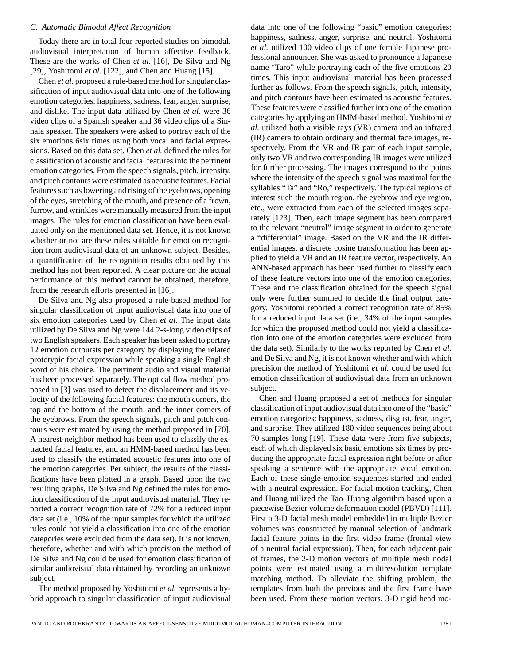# *C. Automatic Bimodal Affect Recognition*

Today there are in total four reported studies on bimodal, audiovisual interpretation of human affective feedback. These are the works of Chen *et al.* [16], De Silva and Ng [29], Yoshitomi *et al.* [122], and Chen and Huang [15].

Chen *et al.* proposed a rule-based method for singular classification of input audiovisual data into one of the following emotion categories: happiness, sadness, fear, anger, surprise, and dislike. The input data utilized by Chen *et al.* were 36 video clips of a Spanish speaker and 36 video clips of a Sinhala speaker. The speakers were asked to portray each of the six emotions 6six times using both vocal and facial expressions. Based on this data set, Chen *et al.* defined the rules for classification of acoustic and facial features into the pertinent emotion categories. From the speech signals, pitch, intensity, and pitch contours were estimated as acoustic features. Facial features such as lowering and rising of the eyebrows, opening of the eyes, stretching of the mouth, and presence of a frown, furrow, and wrinkles were manually measured from the input images. The rules for emotion classification have been evaluated only on the mentioned data set. Hence, it is not known whether or not are these rules suitable for emotion recognition from audiovisual data of an unknown subject. Besides, a quantification of the recognition results obtained by this method has not been reported. A clear picture on the actual performance of this method cannot be obtained, therefore, from the research efforts presented in [16].

De Silva and Ng also proposed a rule-based method for singular classification of input audiovisual data into one of six emotion categories used by Chen *et al.* The input data utilized by De Silva and Ng were 144 2-s-long video clips of two English speakers. Each speaker has been asked to portray 12 emotion outbursts per category by displaying the related prototypic facial expression while speaking a single English word of his choice. The pertinent audio and visual material has been processed separately. The optical flow method proposed in [3] was used to detect the displacement and its velocity of the following facial features: the mouth corners, the top and the bottom of the mouth, and the inner corners of the eyebrows. From the speech signals, pitch and pitch contours were estimated by using the method proposed in [70]. A nearest-neighbor method has been used to classify the extracted facial features, and an HMM-based method has been used to classify the estimated acoustic features into one of the emotion categories. Per subject, the results of the classifications have been plotted in a graph. Based upon the two resulting graphs, De Silva and Ng defined the rules for emotion classification of the input audiovisual material. They reported a correct recognition rate of 72% for a reduced input data set (i.e., 10% of the input samples for which the utilized rules could not yield a classification into one of the emotion categories were excluded from the data set). It is not known, therefore, whether and with which precision the method of De Silva and Ng could be used for emotion classification of similar audiovisual data obtained by recording an unknown subject.

The method proposed by Yoshitomi *et al.* represents a hybrid approach to singular classification of input audiovisual data into one of the following "basic" emotion categories: happiness, sadness, anger, surprise, and neutral. Yoshitomi *et al.* utilized 100 video clips of one female Japanese professional announcer. She was asked to pronounce a Japanese name "Taro" while portraying each of the five emotions 20 times. This input audiovisual material has been processed further as follows. From the speech signals, pitch, intensity, and pitch contours have been estimated as acoustic features. These features were classified further into one of the emotion categories by applying an HMM-based method. Yoshitomi *et al.* utilized both a visible rays (VR) camera and an infrared (IR) camera to obtain ordinary and thermal face images, respectively. From the VR and IR part of each input sample, only two VR and two corresponding IR images were utilized for further processing. The images correspond to the points where the intensity of the speech signal was maximal for the syllables "Ta" and "Ro," respectively. The typical regions of interest such the mouth region, the eyebrow and eye region, etc., were extracted from each of the selected images separately [123]. Then, each image segment has been compared to the relevant "neutral" image segment in order to generate a "differential" image. Based on the VR and the IR differential images, a discrete cosine transformation has been applied to yield a VR and an IR feature vector, respectively. An ANN-based approach has been used further to classify each of these feature vectors into one of the emotion categories. These and the classification obtained for the speech signal only were further summed to decide the final output category. Yoshitomi reported a correct recognition rate of 85% for a reduced input data set (i.e., 34% of the input samples for which the proposed method could not yield a classification into one of the emotion categories were excluded from the data set). Similarly to the works reported by Chen *et al.* and De Silva and Ng, it is not known whether and with which precision the method of Yoshitomi *et al.* could be used for emotion classification of audiovisual data from an unknown subject.

Chen and Huang proposed a set of methods for singular classification of input audiovisual data into one of the "basic" emotion categories: happiness, sadness, disgust, fear, anger, and surprise. They utilized 180 video sequences being about 70 samples long [19]. These data were from five subjects, each of which displayed six basic emotions six times by producing the appropriate facial expression right before or after speaking a sentence with the appropriate vocal emotion. Each of these single-emotion sequences started and ended with a neutral expression. For facial motion tracking, Chen and Huang utilized the Tao–Huang algorithm based upon a piecewise Bezier volume deformation model (PBVD) [111]. First a 3-D facial mesh model embedded in multiple Bezier volumes was constructed by manual selection of landmark facial feature points in the first video frame (frontal view of a neutral facial expression). Then, for each adjacent pair of frames, the 2-D motion vectors of multiple mesh nodal points were estimated using a multiresolution template matching method. To alleviate the shifting problem, the templates from both the previous and the first frame have been used. From these motion vectors, 3-D rigid head mo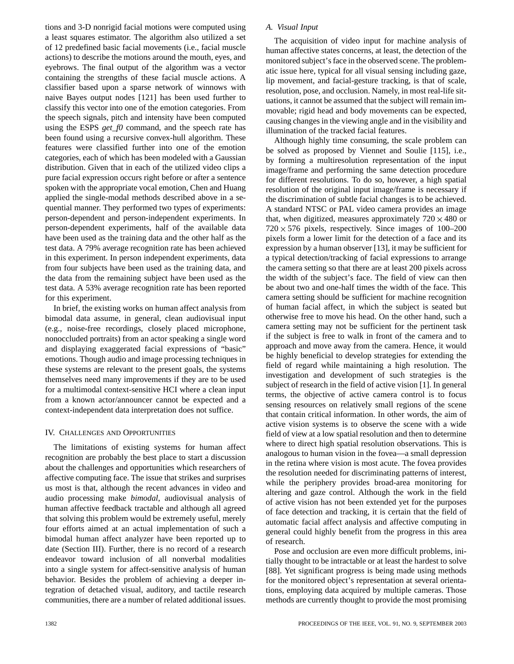tions and 3-D nonrigid facial motions were computed using a least squares estimator. The algorithm also utilized a set of 12 predefined basic facial movements (i.e., facial muscle actions) to describe the motions around the mouth, eyes, and eyebrows. The final output of the algorithm was a vector containing the strengths of these facial muscle actions. A classifier based upon a sparse network of winnows with naive Bayes output nodes [121] has been used further to classify this vector into one of the emotion categories. From the speech signals, pitch and intensity have been computed using the ESPS *get\_f0* command, and the speech rate has been found using a recursive convex-hull algorithm. These features were classified further into one of the emotion categories, each of which has been modeled with a Gaussian distribution. Given that in each of the utilized video clips a pure facial expression occurs right before or after a sentence spoken with the appropriate vocal emotion, Chen and Huang applied the single-modal methods described above in a sequential manner. They performed two types of experiments: person-dependent and person-independent experiments. In person-dependent experiments, half of the available data have been used as the training data and the other half as the test data. A 79% average recognition rate has been achieved in this experiment. In person independent experiments, data from four subjects have been used as the training data, and the data from the remaining subject have been used as the test data. A 53% average recognition rate has been reported for this experiment.

In brief, the existing works on human affect analysis from bimodal data assume, in general, clean audiovisual input (e.g., noise-free recordings, closely placed microphone, nonoccluded portraits) from an actor speaking a single word and displaying exaggerated facial expressions of "basic" emotions. Though audio and image processing techniques in these systems are relevant to the present goals, the systems themselves need many improvements if they are to be used for a multimodal context-sensitive HCI where a clean input from a known actor/announcer cannot be expected and a context-independent data interpretation does not suffice.

# IV. CHALLENGES AND OPPORTUNITIES

The limitations of existing systems for human affect recognition are probably the best place to start a discussion about the challenges and opportunities which researchers of affective computing face. The issue that strikes and surprises us most is that, although the recent advances in video and audio processing make *bimodal*, audiovisual analysis of human affective feedback tractable and although all agreed that solving this problem would be extremely useful, merely four efforts aimed at an actual implementation of such a bimodal human affect analyzer have been reported up to date (Section III). Further, there is no record of a research endeavor toward inclusion of all nonverbal modalities into a single system for affect-sensitive analysis of human behavior. Besides the problem of achieving a deeper integration of detached visual, auditory, and tactile research communities, there are a number of related additional issues.

The acquisition of video input for machine analysis of human affective states concerns, at least, the detection of the monitored subject's face in the observed scene. The problematic issue here, typical for all visual sensing including gaze, lip movement, and facial-gesture tracking, is that of scale, resolution, pose, and occlusion. Namely, in most real-life situations, it cannot be assumed that the subject will remain immovable; rigid head and body movements can be expected, causing changes in the viewing angle and in the visibility and illumination of the tracked facial features.

Although highly time consuming, the scale problem can be solved as proposed by Viennet and Soulie [115], i.e., by forming a multiresolution representation of the input image/frame and performing the same detection procedure for different resolutions. To do so, however, a high spatial resolution of the original input image/frame is necessary if the discrimination of subtle facial changes is to be achieved. A standard NTSC or PAL video camera provides an image that, when digitized, measures approximately  $720 \times 480$  or  $720 \times 576$  pixels, respectively. Since images of 100–200 pixels form a lower limit for the detection of a face and its expression by a human observer [13], it may be sufficient for a typical detection/tracking of facial expressions to arrange the camera setting so that there are at least 200 pixels across the width of the subject's face. The field of view can then be about two and one-half times the width of the face. This camera setting should be sufficient for machine recognition of human facial affect, in which the subject is seated but otherwise free to move his head. On the other hand, such a camera setting may not be sufficient for the pertinent task if the subject is free to walk in front of the camera and to approach and move away from the camera. Hence, it would be highly beneficial to develop strategies for extending the field of regard while maintaining a high resolution. The investigation and development of such strategies is the subject of research in the field of active vision [1]. In general terms, the objective of active camera control is to focus sensing resources on relatively small regions of the scene that contain critical information. In other words, the aim of active vision systems is to observe the scene with a wide field of view at a low spatial resolution and then to determine where to direct high spatial resolution observations. This is analogous to human vision in the fovea—a small depression in the retina where vision is most acute. The fovea provides the resolution needed for discriminating patterns of interest, while the periphery provides broad-area monitoring for altering and gaze control. Although the work in the field of active vision has not been extended yet for the purposes of face detection and tracking, it is certain that the field of automatic facial affect analysis and affective computing in general could highly benefit from the progress in this area of research.

Pose and occlusion are even more difficult problems, initially thought to be intractable or at least the hardest to solve [88]. Yet significant progress is being made using methods for the monitored object's representation at several orientations, employing data acquired by multiple cameras. Those methods are currently thought to provide the most promising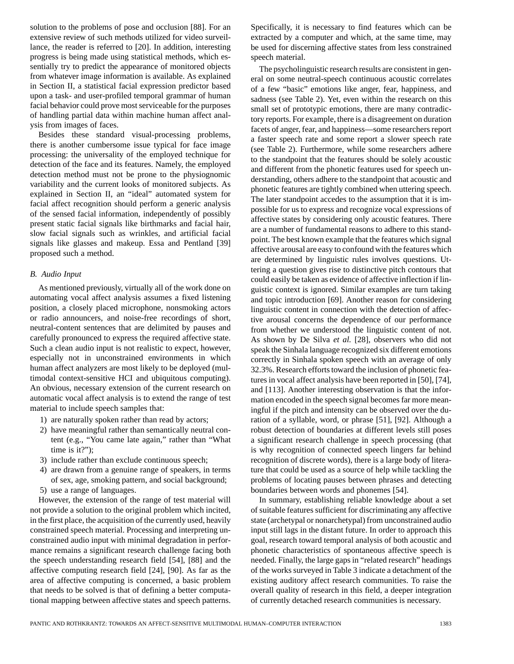solution to the problems of pose and occlusion [88]. For an extensive review of such methods utilized for video surveillance, the reader is referred to [20]. In addition, interesting progress is being made using statistical methods, which essentially try to predict the appearance of monitored objects from whatever image information is available. As explained in Section II, a statistical facial expression predictor based upon a task- and user-profiled temporal grammar of human facial behavior could prove most serviceable for the purposes of handling partial data within machine human affect analysis from images of faces.

Besides these standard visual-processing problems, there is another cumbersome issue typical for face image processing: the universality of the employed technique for detection of the face and its features. Namely, the employed detection method must not be prone to the physiognomic variability and the current looks of monitored subjects. As explained in Section II, an "ideal" automated system for facial affect recognition should perform a generic analysis of the sensed facial information, independently of possibly present static facial signals like birthmarks and facial hair, slow facial signals such as wrinkles, and artificial facial signals like glasses and makeup. Essa and Pentland [39] proposed such a method.

## *B. Audio Input*

As mentioned previously, virtually all of the work done on automating vocal affect analysis assumes a fixed listening position, a closely placed microphone, nonsmoking actors or radio announcers, and noise-free recordings of short, neutral-content sentences that are delimited by pauses and carefully pronounced to express the required affective state. Such a clean audio input is not realistic to expect, however, especially not in unconstrained environments in which human affect analyzers are most likely to be deployed (multimodal context-sensitive HCI and ubiquitous computing). An obvious, necessary extension of the current research on automatic vocal affect analysis is to extend the range of test material to include speech samples that:

- 1) are naturally spoken rather than read by actors;
- 2) have meaningful rather than semantically neutral content (e.g., "You came late again," rather than "What time is it?");
- 3) include rather than exclude continuous speech;
- 4) are drawn from a genuine range of speakers, in terms of sex, age, smoking pattern, and social background;
- 5) use a range of languages.

However, the extension of the range of test material will not provide a solution to the original problem which incited, in the first place, the acquisition of the currently used, heavily constrained speech material. Processing and interpreting unconstrained audio input with minimal degradation in performance remains a significant research challenge facing both the speech understanding research field [54], [88] and the affective computing research field [24], [90]. As far as the area of affective computing is concerned, a basic problem that needs to be solved is that of defining a better computational mapping between affective states and speech patterns.

Specifically, it is necessary to find features which can be extracted by a computer and which, at the same time, may be used for discerning affective states from less constrained speech material.

The psycholinguistic research results are consistent in general on some neutral-speech continuous acoustic correlates of a few "basic" emotions like anger, fear, happiness, and sadness (see Table 2). Yet, even within the research on this small set of prototypic emotions, there are many contradictory reports. For example, there is a disagreement on duration facets of anger, fear, and happiness—some researchers report a faster speech rate and some report a slower speech rate (see Table 2). Furthermore, while some researchers adhere to the standpoint that the features should be solely acoustic and different from the phonetic features used for speech understanding, others adhere to the standpoint that acoustic and phonetic features are tightly combined when uttering speech. The later standpoint accedes to the assumption that it is impossible for us to express and recognize vocal expressions of affective states by considering only acoustic features. There are a number of fundamental reasons to adhere to this standpoint. The best known example that the features which signal affective arousal are easy to confound with the features which are determined by linguistic rules involves questions. Uttering a question gives rise to distinctive pitch contours that could easily be taken as evidence of affective inflection if linguistic context is ignored. Similar examples are turn taking and topic introduction [69]. Another reason for considering linguistic content in connection with the detection of affective arousal concerns the dependence of our performance from whether we understood the linguistic content of not. As shown by De Silva *et al.* [28], observers who did not speak the Sinhala language recognized six different emotions correctly in Sinhala spoken speech with an average of only 32.3%. Research efforts toward the inclusion of phonetic features in vocal affect analysis have been reported in [50], [74], and [113]. Another interesting observation is that the information encoded in the speech signal becomes far more meaningful if the pitch and intensity can be observed over the duration of a syllable, word, or phrase [51], [92]. Although a robust detection of boundaries at different levels still poses a significant research challenge in speech processing (that is why recognition of connected speech lingers far behind recognition of discrete words), there is a large body of literature that could be used as a source of help while tackling the problems of locating pauses between phrases and detecting boundaries between words and phonemes [54].

In summary, establishing reliable knowledge about a set of suitable features sufficient for discriminating any affective state (archetypal or nonarchetypal) from unconstrained audio input still lags in the distant future. In order to approach this goal, research toward temporal analysis of both acoustic and phonetic characteristics of spontaneous affective speech is needed. Finally, the large gaps in "related research" headings of the works surveyed in Table 3 indicate a detachment of the existing auditory affect research communities. To raise the overall quality of research in this field, a deeper integration of currently detached research communities is necessary.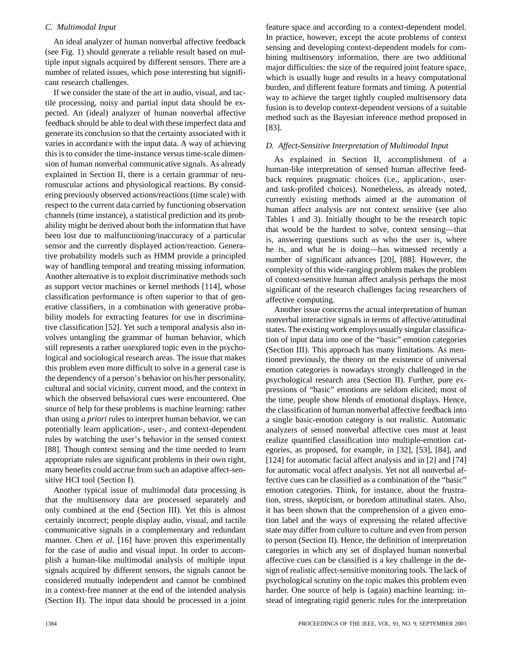An ideal analyzer of human nonverbal affective feedback (see Fig. 1) should generate a reliable result based on multiple input signals acquired by different sensors. There are a number of related issues, which pose interesting but significant research challenges.

If we consider the state of the art in audio, visual, and tactile processing, noisy and partial input data should be expected. An (ideal) analyzer of human nonverbal affective feedback should be able to deal with these imperfect data and generate its conclusion so that the certainty associated with it varies in accordance with the input data. A way of achieving this is to consider the time-instance versus time-scale dimension of human nonverbal communicative signals. As already explained in Section II, there is a certain grammar of neuromuscular actions and physiological reactions. By considering previously observed actions/reactions (time scale) with respect to the current data carried by functioning observation channels (time instance), a statistical prediction and its probability might be derived about both the information that have been lost due to malfunctioning/inaccuracy of a particular sensor and the currently displayed action/reaction. Generative probability models such as HMM provide a principled way of handling temporal and treating missing information. Another alternative is to exploit discriminative methods such as support vector machines or kernel methods [114], whose classification performance is often superior to that of generative classifiers, in a combination with generative probability models for extracting features for use in discriminative classification [52]. Yet such a temporal analysis also involves untangling the grammar of human behavior, which still represents a rather unexplored topic even in the psychological and sociological research areas. The issue that makes this problem even more difficult to solve in a general case is the dependency of a person's behavior on his/her personality, cultural and social vicinity, current mood, and the context in which the observed behavioral cues were encountered. One source of help for these problems is machine learning: rather than using *a priori* rules to interpret human behavior, we can potentially learn application-, user-, and context-dependent rules by watching the user's behavior in the sensed context [88]. Though context sensing and the time needed to learn appropriate rules are significant problems in their own right, many benefits could accrue from such an adaptive affect-sensitive HCI tool (Section I).

Another typical issue of multimodal data processing is that the multisensory data are processed separately and only combined at the end (Section III). Yet this is almost certainly incorrect; people display audio, visual, and tactile communicative signals in a complementary and redundant manner. Chen *et al.* [16] have proven this experimentally for the case of audio and visual input. In order to accomplish a human-like multimodal analysis of multiple input signals acquired by different sensors, the signals cannot be considered mutually independent and cannot be combined in a context-free manner at the end of the intended analysis (Section II). The input data should be processed in a joint feature space and according to a context-dependent model. In practice, however, except the acute problems of context sensing and developing context-dependent models for combining multisensory information, there are two additional major difficulties: the size of the required joint feature space, which is usually huge and results in a heavy computational burden, and different feature formats and timing. A potential way to achieve the target tightly coupled multisensory data fusion is to develop context-dependent versions of a suitable method such as the Bayesian inference method proposed in [83].

# *D. Affect-Sensitive Interpretation of Multimodal Input*

As explained in Section II, accomplishment of a human-like interpretation of sensed human affective feedback requires pragmatic choices (i.e., application-, userand task-profiled choices). Nonetheless, as already noted, currently existing methods aimed at the automation of human affect analysis are not context sensitive (see also Tables 1 and 3). Initially thought to be the research topic that would be the hardest to solve, context sensing—that is, answering questions such as who the user is, where he is, and what he is doing—has witnessed recently a number of significant advances [20], [88]. However, the complexity of this wide-ranging problem makes the problem of context-sensitive human affect analysis perhaps the most significant of the research challenges facing researchers of affective computing.

Another issue concerns the actual interpretation of human nonverbal interactive signals in terms of affective/attitudinal states. The existing work employs usually singular classification of input data into one of the "basic" emotion categories (Section III). This approach has many limitations. As mentioned previously, the theory on the existence of universal emotion categories is nowadays strongly challenged in the psychological research area (Section II). Further, pure expressions of "basic" emotions are seldom elicited; most of the time, people show blends of emotional displays. Hence, the classification of human nonverbal affective feedback into a single basic-emotion category is not realistic. Automatic analyzers of sensed nonverbal affective cues must at least realize quantified classification into multiple-emotion categories, as proposed, for example, in [32], [53], [84], and [124] for automatic facial affect analysis and in [2] and [74] for automatic vocal affect analysis. Yet not all nonverbal affective cues can be classified as a combination of the "basic" emotion categories. Think, for instance, about the frustration, stress, skepticism, or boredom attitudinal states. Also, it has been shown that the comprehension of a given emotion label and the ways of expressing the related affective state may differ from culture to culture and even from person to person (Section II). Hence, the definition of interpretation categories in which any set of displayed human nonverbal affective cues can be classified is a key challenge in the design of realistic affect-sensitive monitoring tools. The lack of psychological scrutiny on the topic makes this problem even harder. One source of help is (again) machine learning: instead of integrating rigid generic rules for the interpretation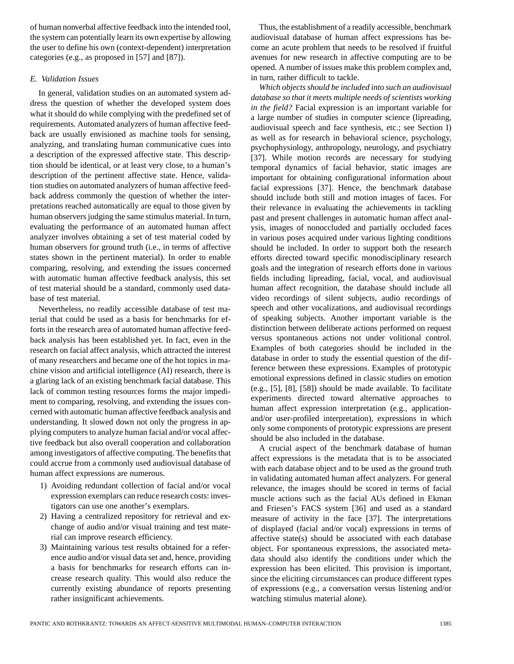of human nonverbal affective feedback into the intended tool, the system can potentially learn its own expertise by allowing the user to define his own (context-dependent) interpretation categories (e.g., as proposed in [57] and [87]).

# *E. Validation Issues*

In general, validation studies on an automated system address the question of whether the developed system does what it should do while complying with the predefined set of requirements. Automated analyzers of human affective feedback are usually envisioned as machine tools for sensing, analyzing, and translating human communicative cues into a description of the expressed affective state. This description should be identical, or at least very close, to a human's description of the pertinent affective state. Hence, validation studies on automated analyzers of human affective feedback address commonly the question of whether the interpretations reached automatically are equal to those given by human observers judging the same stimulus material. In turn, evaluating the performance of an automated human affect analyzer involves obtaining a set of test material coded by human observers for ground truth (i.e., in terms of affective states shown in the pertinent material). In order to enable comparing, resolving, and extending the issues concerned with automatic human affective feedback analysis, this set of test material should be a standard, commonly used database of test material.

Nevertheless, no readily accessible database of test material that could be used as a basis for benchmarks for efforts in the research area of automated human affective feedback analysis has been established yet. In fact, even in the research on facial affect analysis, which attracted the interest of many researchers and became one of the hot topics in machine vision and artificial intelligence (AI) research, there is a glaring lack of an existing benchmark facial database. This lack of common testing resources forms the major impediment to comparing, resolving, and extending the issues concerned with automatic human affective feedback analysis and understanding. It slowed down not only the progress in applying computers to analyze human facial and/or vocal affective feedback but also overall cooperation and collaboration among investigators of affective computing. The benefits that could accrue from a commonly used audiovisual database of human affect expressions are numerous.

- 1) Avoiding redundant collection of facial and/or vocal expression exemplars can reduce research costs: investigators can use one another's exemplars.
- 2) Having a centralized repository for retrieval and exchange of audio and/or visual training and test material can improve research efficiency.
- 3) Maintaining various test results obtained for a reference audio and/or visual data set and, hence, providing a basis for benchmarks for research efforts can increase research quality. This would also reduce the currently existing abundance of reports presenting rather insignificant achievements.

Thus, the establishment of a readily accessible, benchmark audiovisual database of human affect expressions has become an acute problem that needs to be resolved if fruitful avenues for new research in affective computing are to be opened. A number of issues make this problem complex and, in turn, rather difficult to tackle.

*Which objects should be included into such an audiovisual database so that it meets multiple needs of scientists working in the field?* Facial expression is an important variable for a large number of studies in computer science (lipreading, audiovisual speech and face synthesis, etc.; see Section I) as well as for research in behavioral science, psychology, psychophysiology, anthropology, neurology, and psychiatry [37]. While motion records are necessary for studying temporal dynamics of facial behavior, static images are important for obtaining configurational information about facial expressions [37]. Hence, the benchmark database should include both still and motion images of faces. For their relevance in evaluating the achievements in tackling past and present challenges in automatic human affect analysis, images of nonoccluded and partially occluded faces in various poses acquired under various lighting conditions should be included. In order to support both the research efforts directed toward specific monodisciplinary research goals and the integration of research efforts done in various fields including lipreading, facial, vocal, and audiovisual human affect recognition, the database should include all video recordings of silent subjects, audio recordings of speech and other vocalizations, and audiovisual recordings of speaking subjects. Another important variable is the distinction between deliberate actions performed on request versus spontaneous actions not under volitional control. Examples of both categories should be included in the database in order to study the essential question of the difference between these expressions. Examples of prototypic emotional expressions defined in classic studies on emotion (e.g., [5], [8], [58]) should be made available. To facilitate experiments directed toward alternative approaches to human affect expression interpretation (e.g., applicationand/or user-profiled interpretation), expressions in which only some components of prototypic expressions are present should be also included in the database.

A crucial aspect of the benchmark database of human affect expressions is the metadata that is to be associated with each database object and to be used as the ground truth in validating automated human affect analyzers. For general relevance, the images should be scored in terms of facial muscle actions such as the facial AUs defined in Ekman and Friesen's FACS system [36] and used as a standard measure of activity in the face [37]. The interpretations of displayed (facial and/or vocal) expressions in terms of affective state(s) should be associated with each database object. For spontaneous expressions, the associated metadata should also identify the conditions under which the expression has been elicited. This provision is important, since the eliciting circumstances can produce different types of expressions (e.g., a conversation versus listening and/or watching stimulus material alone).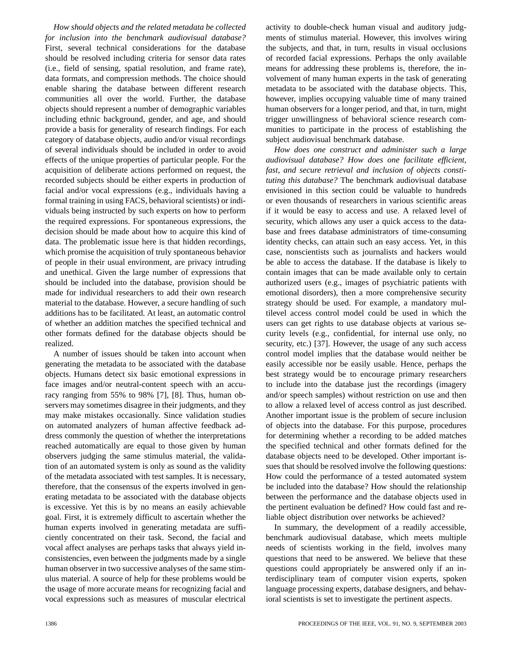*How should objects and the related metadata be collected for inclusion into the benchmark audiovisual database?* First, several technical considerations for the database should be resolved including criteria for sensor data rates (i.e., field of sensing, spatial resolution, and frame rate), data formats, and compression methods. The choice should enable sharing the database between different research communities all over the world. Further, the database objects should represent a number of demographic variables including ethnic background, gender, and age, and should provide a basis for generality of research findings. For each category of database objects, audio and/or visual recordings of several individuals should be included in order to avoid effects of the unique properties of particular people. For the acquisition of deliberate actions performed on request, the recorded subjects should be either experts in production of facial and/or vocal expressions (e.g., individuals having a formal training in using FACS, behavioral scientists) or individuals being instructed by such experts on how to perform the required expressions. For spontaneous expressions, the decision should be made about how to acquire this kind of data. The problematic issue here is that hidden recordings, which promise the acquisition of truly spontaneous behavior of people in their usual environment, are privacy intruding and unethical. Given the large number of expressions that should be included into the database, provision should be made for individual researchers to add their own research material to the database. However, a secure handling of such additions has to be facilitated. At least, an automatic control of whether an addition matches the specified technical and other formats defined for the database objects should be realized.

A number of issues should be taken into account when generating the metadata to be associated with the database objects. Humans detect six basic emotional expressions in face images and/or neutral-content speech with an accuracy ranging from 55% to 98% [7], [8]. Thus, human observers may sometimes disagree in their judgments, and they may make mistakes occasionally. Since validation studies on automated analyzers of human affective feedback address commonly the question of whether the interpretations reached automatically are equal to those given by human observers judging the same stimulus material, the validation of an automated system is only as sound as the validity of the metadata associated with test samples. It is necessary, therefore, that the consensus of the experts involved in generating metadata to be associated with the database objects is excessive. Yet this is by no means an easily achievable goal. First, it is extremely difficult to ascertain whether the human experts involved in generating metadata are sufficiently concentrated on their task. Second, the facial and vocal affect analyses are perhaps tasks that always yield inconsistencies, even between the judgments made by a single human observer in two successive analyses of the same stimulus material. A source of help for these problems would be the usage of more accurate means for recognizing facial and vocal expressions such as measures of muscular electrical

activity to double-check human visual and auditory judgments of stimulus material. However, this involves wiring the subjects, and that, in turn, results in visual occlusions of recorded facial expressions. Perhaps the only available means for addressing these problems is, therefore, the involvement of many human experts in the task of generating metadata to be associated with the database objects. This, however, implies occupying valuable time of many trained human observers for a longer period, and that, in turn, might trigger unwillingness of behavioral science research communities to participate in the process of establishing the subject audiovisual benchmark database.

*How does one construct and administer such a large audiovisual database? How does one facilitate efficient, fast, and secure retrieval and inclusion of objects constituting this database?* The benchmark audiovisual database envisioned in this section could be valuable to hundreds or even thousands of researchers in various scientific areas if it would be easy to access and use. A relaxed level of security, which allows any user a quick access to the database and frees database administrators of time-consuming identity checks, can attain such an easy access. Yet, in this case, nonscientists such as journalists and hackers would be able to access the database. If the database is likely to contain images that can be made available only to certain authorized users (e.g., images of psychiatric patients with emotional disorders), then a more comprehensive security strategy should be used. For example, a mandatory multilevel access control model could be used in which the users can get rights to use database objects at various security levels (e.g., confidential, for internal use only, no security, etc.) [37]. However, the usage of any such access control model implies that the database would neither be easily accessible nor be easily usable. Hence, perhaps the best strategy would be to encourage primary researchers to include into the database just the recordings (imagery and/or speech samples) without restriction on use and then to allow a relaxed level of access control as just described. Another important issue is the problem of secure inclusion of objects into the database. For this purpose, procedures for determining whether a recording to be added matches the specified technical and other formats defined for the database objects need to be developed. Other important issues that should be resolved involve the following questions: How could the performance of a tested automated system be included into the database? How should the relationship between the performance and the database objects used in the pertinent evaluation be defined? How could fast and reliable object distribution over networks be achieved?

In summary, the development of a readily accessible, benchmark audiovisual database, which meets multiple needs of scientists working in the field, involves many questions that need to be answered. We believe that these questions could appropriately be answered only if an interdisciplinary team of computer vision experts, spoken language processing experts, database designers, and behavioral scientists is set to investigate the pertinent aspects.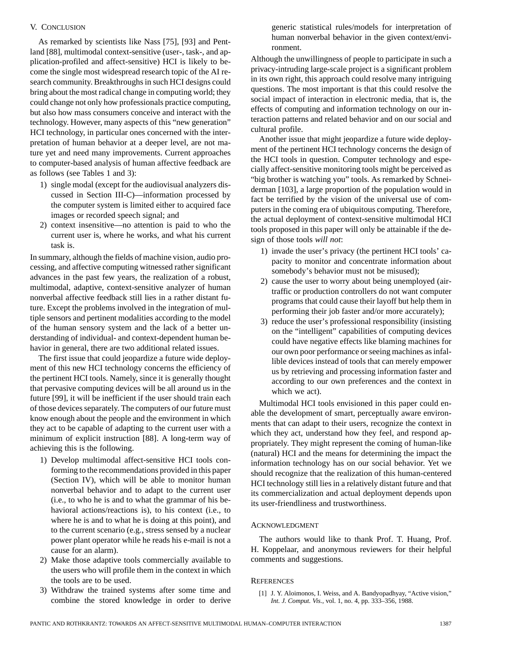# V. CONCLUSION

As remarked by scientists like Nass [75], [93] and Pentland [88], multimodal context-sensitive (user-, task-, and application-profiled and affect-sensitive) HCI is likely to become the single most widespread research topic of the AI research community. Breakthroughs in such HCI designs could bring about the most radical change in computing world; they could change not only how professionals practice computing, but also how mass consumers conceive and interact with the technology. However, many aspects of this "new generation" HCI technology, in particular ones concerned with the interpretation of human behavior at a deeper level, are not mature yet and need many improvements. Current approaches to computer-based analysis of human affective feedback are as follows (see Tables 1 and 3):

- 1) single modal (except for the audiovisual analyzers discussed in Section III-C)—information processed by the computer system is limited either to acquired face images or recorded speech signal; and
- 2) context insensitive—no attention is paid to who the current user is, where he works, and what his current task is.

In summary, although the fields of machine vision, audio processing, and affective computing witnessed rather significant advances in the past few years, the realization of a robust, multimodal, adaptive, context-sensitive analyzer of human nonverbal affective feedback still lies in a rather distant future. Except the problems involved in the integration of multiple sensors and pertinent modalities according to the model of the human sensory system and the lack of a better understanding of individual- and context-dependent human behavior in general, there are two additional related issues.

The first issue that could jeopardize a future wide deployment of this new HCI technology concerns the efficiency of the pertinent HCI tools. Namely, since it is generally thought that pervasive computing devices will be all around us in the future [99], it will be inefficient if the user should train each of those devices separately. The computers of our future must know enough about the people and the environment in which they act to be capable of adapting to the current user with a minimum of explicit instruction [88]. A long-term way of achieving this is the following.

- 1) Develop multimodal affect-sensitive HCI tools conforming to the recommendations provided in this paper (Section IV), which will be able to monitor human nonverbal behavior and to adapt to the current user (i.e., to who he is and to what the grammar of his behavioral actions/reactions is), to his context (i.e., to where he is and to what he is doing at this point), and to the current scenario (e.g., stress sensed by a nuclear power plant operator while he reads his e-mail is not a cause for an alarm).
- 2) Make those adaptive tools commercially available to the users who will profile them in the context in which the tools are to be used.
- 3) Withdraw the trained systems after some time and combine the stored knowledge in order to derive

generic statistical rules/models for interpretation of human nonverbal behavior in the given context/environment.

Although the unwillingness of people to participate in such a privacy-intruding large-scale project is a significant problem in its own right, this approach could resolve many intriguing questions. The most important is that this could resolve the social impact of interaction in electronic media, that is, the effects of computing and information technology on our interaction patterns and related behavior and on our social and cultural profile.

Another issue that might jeopardize a future wide deployment of the pertinent HCI technology concerns the design of the HCI tools in question. Computer technology and especially affect-sensitive monitoring tools might be perceived as "big brother is watching you" tools. As remarked by Schneiderman [103], a large proportion of the population would in fact be terrified by the vision of the universal use of computers in the coming era of ubiquitous computing. Therefore, the actual deployment of context-sensitive multimodal HCI tools proposed in this paper will only be attainable if the design of those tools *will not*:

- 1) invade the user's privacy (the pertinent HCI tools' capacity to monitor and concentrate information about somebody's behavior must not be misused);
- 2) cause the user to worry about being unemployed (airtraffic or production controllers do not want computer programs that could cause their layoff but help them in performing their job faster and/or more accurately);
- 3) reduce the user's professional responsibility (insisting on the "intelligent" capabilities of computing devices could have negative effects like blaming machines for our own poor performance or seeing machines as infallible devices instead of tools that can merely empower us by retrieving and processing information faster and according to our own preferences and the context in which we act).

Multimodal HCI tools envisioned in this paper could enable the development of smart, perceptually aware environments that can adapt to their users, recognize the context in which they act, understand how they feel, and respond appropriately. They might represent the coming of human-like (natural) HCI and the means for determining the impact the information technology has on our social behavior. Yet we should recognize that the realization of this human-centered HCI technology still lies in a relatively distant future and that its commercialization and actual deployment depends upon its user-friendliness and trustworthiness.

# ACKNOWLEDGMENT

The authors would like to thank Prof. T. Huang, Prof. H. Koppelaar, and anonymous reviewers for their helpful comments and suggestions.

#### **REFERENCES**

[1] J. Y. Aloimonos, I. Weiss, and A. Bandyopadhyay, "Active vision," *Int. J. Comput. Vis.*, vol. 1, no. 4, pp. 333–356, 1988.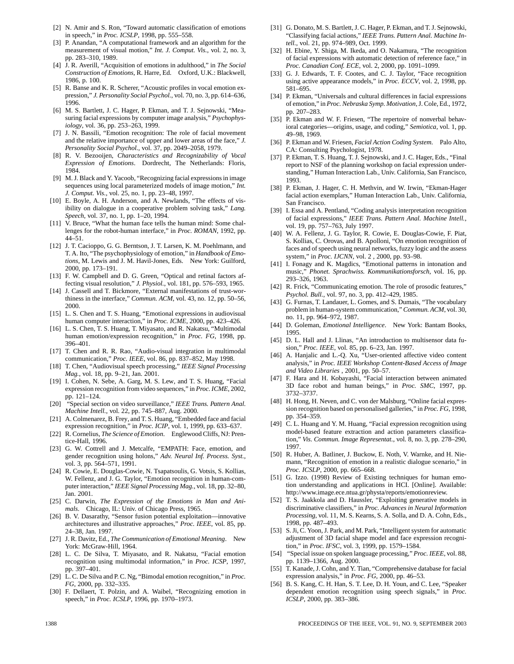- [2] N. Amir and S. Ron, "Toward automatic classification of emotions in speech," in *Proc. ICSLP*, 1998, pp. 555–558.
- [3] P. Anandan, "A computational framework and an algorithm for the measurement of visual motion," *Int. J. Comput. Vis.*, vol. 2, no. 3, pp. 283–310, 1989.
- [4] J. R. Averill, "Acquisition of emotions in adulthood," in *The Social Construction of Emotions*, R. Harre, Ed. Oxford, U.K.: Blackwell, 1986, p. 100.
- [5] R. Banse and K. R. Scherer, "Acoustic profiles in vocal emotion expression," *J. Personality Social Psychol.*, vol. 70, no. 3, pp. 614–636, 1996.
- [6] M. S. Bartlett, J. C. Hager, P. Ekman, and T. J. Sejnowski, "Measuring facial expressions by computer image analysis," *Psychophysiology*, vol. 36, pp. 253–263, 1999.
- [7] J. N. Bassili, "Emotion recognition: The role of facial movement and the relative importance of upper and lower areas of the face," *J. Personality Social Psychol.*, vol. 37, pp. 2049–2058, 1979.
- [8] R. V. Bezooijen, *Characteristics and Recognizability of Vocal Expression of Emotions*. Dordrecht, The Netherlands: Floris, 1984.
- [9] M. J. Black and Y. Yacoob, "Recognizing facial expressions in image sequences using local parameterized models of image motion," *Int. J. Comput. Vis.*, vol. 25, no. 1, pp. 23–48, 1997.
- [10] E. Boyle, A. H. Anderson, and A. Newlands, "The effects of visibility on dialogue in a cooperative problem solving task," *Lang. Speech*, vol. 37, no. 1, pp. 1–20, 1994.
- [11] V. Bruce, "What the human face tells the human mind: Some challenges for the robot-human interface," in *Proc. ROMAN*, 1992, pp. 44–51.
- [12] J. T. Cacioppo, G. G. Berntson, J. T. Larsen, K. M. Poehlmann, and T. A. Ito, "The psychophysiology of emotion," in *Handbook of Emotions*, M. Lewis and J. M. Havil-Jones, Eds. New York: Guilford, 2000, pp. 173–191.
- [13] F. W. Campbell and D. G. Green, "Optical and retinal factors affecting visual resolution," *J. Physiol.*, vol. 181, pp. 576–593, 1965.
- [14] J. Cassell and T. Bickmore, "External manifestations of trust-worthiness in the interface," *Commun. ACM*, vol. 43, no. 12, pp. 50–56, 2000.
- [15] L. S. Chen and T. S. Huang, "Emotional expressions in audiovisual human computer interaction," in *Proc. ICME*, 2000, pp. 423–426.
- [16] L. S. Chen, T. S. Huang, T. Miyasato, and R. Nakatsu, "Multimodal human emotion/expression recognition," in *Proc. FG*, 1998, pp. 396–401.
- [17] T. Chen and R. R. Rao, "Audio-visual integration in multimodal communication," *Proc. IEEE*, vol. 86, pp. 837–852, May 1998.
- [18] T. Chen, "Audiovisual speech processing," *IEEE Signal Processing Mag.*, vol. 18, pp. 9–21, Jan. 2001.
- [19] I. Cohen, N. Sebe, A. Garg, M. S. Lew, and T. S. Huang, "Facial expression recognition from video sequences," in *Proc. ICME*, 2002, pp. 121–124.
- [20] "Special section on video surveillance," *IEEE Trans. Pattern Anal. Machine Intell.*, vol. 22, pp. 745–887, Aug. 2000.
- [21] A. Colmenarez, B. Frey, and T. S. Huang, "Embedded face and facial expression recognition," in *Proc. ICIP*, vol. 1, 1999, pp. 633–637.
- [22] R. Cornelius, *The Science of Emotion*. Englewood Cliffs, NJ: Prentice-Hall, 1996.
- [23] G. W. Cottrell and J. Metcalfe, "EMPATH: Face, emotion, and gender recognition using holons," *Adv. Neural Inf. Process. Syst.*, vol. 3, pp. 564–571, 1991.
- [24] R. Cowie, E. Douglas-Cowie, N. Tsapatsoulis, G. Votsis, S. Kollias, W. Fellenz, and J. G. Taylor, "Emotion recognition in human-computer interaction," *IEEE Signal Processing Mag.*, vol. 18, pp. 32–80, Jan. 2001.
- [25] C. Darwin, *The Expression of the Emotions in Man and Animals*. Chicago, IL: Univ. of Chicago Press, 1965.
- [26] B. V. Dasarathy, "Sensor fusion potential exploitation—innovative architectures and illustrative approaches," *Proc. IEEE*, vol. 85, pp. 24–38, Jan. 1997.
- [27] J. R. Davitz, Ed., *The Communication of Emotional Meaning*. New York: McGraw-Hill, 1964.
- [28] L. C. De Silva, T. Miyasato, and R. Nakatsu, "Facial emotion recognition using multimodal information," in *Proc. ICSP*, 1997, pp. 397–401.
- [29] L. C. De Silva and P. C. Ng, "Bimodal emotion recognition," in *Proc. FG*, 2000, pp. 332–335.
- [30] F. Dellaert, T. Polzin, and A. Waibel, "Recognizing emotion in speech," in *Proc. ICSLP*, 1996, pp. 1970–1973.
- [31] G. Donato, M. S. Bartlett, J. C. Hager, P. Ekman, and T. J. Sejnowski, "Classifying facial actions," *IEEE Trans. Pattern Anal. Machine Intell.*, vol. 21, pp. 974–989, Oct. 1999.
- [32] H. Ebine, Y. Shiga, M. Ikeda, and O. Nakamura, "The recognition of facial expressions with automatic detection of reference face," in *Proc. Canadian Conf. ECE*, vol. 2, 2000, pp. 1091–1099.
- [33] G. J. Edwards, T. F. Cootes, and C. J. Taylor, "Face recognition using active appearance models," in *Proc. ECCV*, vol. 2, 1998, pp. 581–695.
- [34] P. Ekman, "Universals and cultural differences in facial expressions of emotion," in *Proc. Nebraska Symp. Motivation*, J. Cole, Ed., 1972, pp. 207–283.
- [35] P. Ekman and W. F. Friesen, "The repertoire of nonverbal behavioral categories—origins, usage, and coding," *Semiotica*, vol. 1, pp. 49–98, 1969.
- [36] P. Ekman and W. Friesen, *Facial Action Coding System*. Palo Alto, CA: Consulting Psychologist, 1978.
- [37] P. Ekman, T. S. Huang, T. J. Sejnowski, and J. C. Hager, Eds., "Final report to NSF of the planning workshop on facial expression understanding," Human Interaction Lab., Univ. California, San Francisco, 1993.
- [38] P. Ekman, J. Hager, C. H. Methvin, and W. Irwin, "Ekman-Hager facial action exemplars," Human Interaction Lab., Univ. California, San Francisco.
- [39] I. Essa and A. Pentland, "Coding analysis interpretation recognition of facial expressions," *IEEE Trans. Pattern Anal. Machine Intell.*, vol. 19, pp. 757–763, July 1997.
- [40] W. A. Fellenz, J. G. Taylor, R. Cowie, E. Douglas-Cowie, F. Piat, S. Kollias, C. Orovas, and B. Apolloni, "On emotion recognition of faces and of speech using neural networks, fuzzy logic and the assess system," in *Proc. IJCNN*, vol. 2 , 2000, pp. 93–98.
- [41] I. Fonagy and K. Magdics, "Emotional patterns in intonation and music," *Phonet. Sprachwiss. Kommunikationsforsch*, vol. 16, pp. 293–326, 1963.
- [42] R. Frick, "Communicating emotion. The role of prosodic features," *Psychol. Bull.*, vol. 97, no. 3, pp. 412–429, 1985.
- [43] G. Furnas, T. Landauer, L. Gomes, and S. Dumais, "The vocabulary problem in human-system communication," *Commun. ACM*, vol. 30, no. 11, pp. 964–972, 1987.
- [44] D. Goleman, *Emotional Intelligence*. New York: Bantam Books, 1995.
- [45] D. L. Hall and J. Llinas, "An introduction to multisensor data fusion," *Proc. IEEE*, vol. 85, pp. 6–23, Jan. 1997.
- [46] A. Hanjalic and L.-Q. Xu, "User-oriented affective video content analysis," in *Proc. IEEE Workshop Content-Based Access of Image and Video Libraries* , 2001, pp. 50–57.
- [47] F. Hara and H. Kobayashi, "Facial interaction between animated 3D face robot and human beings," in *Proc. SMC*, 1997, pp. 3732–3737.
- [48] H. Hong, H. Neven, and C. von der Malsburg, "Online facial expression recognition based on personalised galleries," in *Proc. FG*, 1998, pp. 354–359.
- [49] C. L. Huang and Y. M. Huang, "Facial expression recognition using model-based feature extraction and action parameters classification," *Vis. Commun. Image Representat.*, vol. 8, no. 3, pp. 278–290, 1997.
- [50] R. Huber, A. Batliner, J. Buckow, E. Noth, V. Warnke, and H. Niemann, "Recognition of emotion in a realistic dialogue scenario," in *Proc. ICSLP*, 2000, pp. 665–668.
- [51] G. Izzo. (1998) Review of Existing techniques for human emotion understanding and applications in HCI. [Online]. Available: http://www.image.ece.ntua.gr/physta/reports/emotionreview.
- [52] T. S. Jaakkola and D. Haussler, "Exploiting generative models in discriminative classifiers," in *Proc. Advances in Neural Information Processing*, vol. 11, M. S. Kearns, S. A. Solla, and D. A. Cohn, Eds., 1998, pp. 487–493.
- [53] S. Ji, C. Yoon, J. Park, and M. Park, "Intelligent system for automatic adjustment of 3D facial shape model and face expression recognition," in *Proc. IFSC*, vol. 3, 1999, pp. 1579–1584.
- [54] "Special issue on spoken language processing," *Proc. IEEE*, vol. 88, pp. 1139–1366, Aug. 2000.
- [55] T. Kanade, J. Cohn, and Y. Tian, "Comprehensive database for facial expression analysis," in *Proc. FG*, 2000, pp. 46–53.
- [56] B. S. Kang, C. H. Han, S. T. Lee, D. H. Youn, and C. Lee, "Speaker dependent emotion recognition using speech signals," in *Proc. ICSLP*, 2000, pp. 383–386.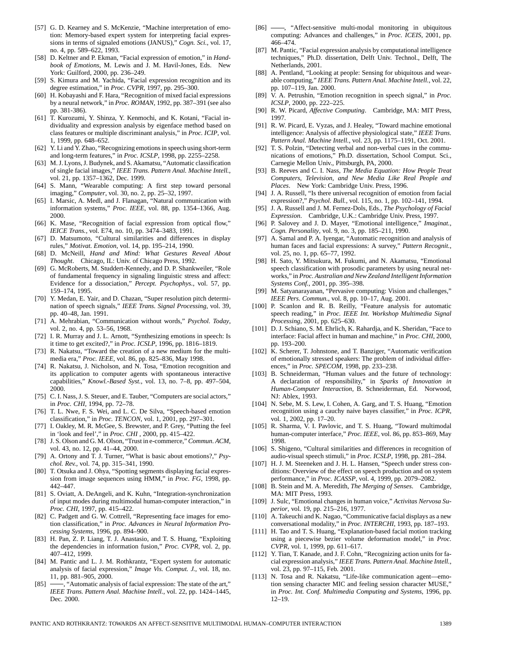- [57] G. D. Kearney and S. McKenzie, "Machine interpretation of emotion: Memory-based expert system for interpreting facial expressions in terms of signaled emotions (JANUS)," *Cogn. Sci.*, vol. 17, no. 4, pp. 589–622, 1993.
- [58] D. Keltner and P. Ekman, "Facial expression of emotion," in *Handbook of Emotions*, M. Lewis and J. M. Havil-Jones, Eds. New York: Guilford, 2000, pp. 236–249.
- [59] S. Kimura and M. Yachida, "Facial expression recognition and its degree estimation," in *Proc. CVPR*, 1997, pp. 295–300.
- [60] H. Kobayashi and F. Hara, "Recognition of mixed facial expressions by a neural network," in *Proc. ROMAN*, 1992, pp. 387–391 (see also pp. 381-386).
- [61] T. Kurozumi, Y. Shinza, Y. Kenmochi, and K. Kotani, "Facial individuality and expression analysis by eigenface method based on class features or multiple discriminant analysis," in *Proc. ICIP*, vol. 1, 1999, pp. 648–652.
- [62] Y. Li and Y. Zhao, "Recognizing emotions in speech using short-term and long-term features," in *Proc. ICSLP*, 1998, pp. 2255–2258.
- [63] M. J. Lyons, J. Budynek, and S. Akamatsu, "Automatic classification of single facial images," *IEEE Trans. Pattern Anal. Machine Intell.*, vol. 21, pp. 1357–1362, Dec. 1999.
- [64] S. Mann, "Wearable computing: A first step toward personal imaging," *Computer*, vol. 30, no. 2, pp. 25–32, 1997.
- [65] I. Marsic, A. Medl, and J. Flanagan, "Natural communication with information systems," *Proc. IEEE*, vol. 88, pp. 1354–1366, Aug. 2000.
- [66] K. Mase, "Recognition of facial expression from optical flow," *IEICE Trans.*, vol. E74, no. 10, pp. 3474–3483, 1991.
- [67] D. Matsumoto, "Cultural similarities and differences in display rules," *Motivat. Emotion*, vol. 14, pp. 195–214, 1990.
- [68] D. McNeill, *Hand and Mind: What Gestures Reveal About Thought*. Chicago, IL: Univ. of Chicago Press, 1992.
- [69] G. McRoberts, M. Studdert-Kennedy, and D. P. Shankweiler, "Role of fundamental frequency in signaling linguistic stress and affect: Evidence for a dissociation," *Percept. Psychophys.*, vol. 57, pp. 159–174, 1995.
- [70] Y. Medan, E. Yair, and D. Chazan, "Super resolution pitch determination of speech signals," *IEEE Trans. Signal Processing*, vol. 39, pp. 40–48, Jan. 1991.
- [71] A. Mehrabian, "Communication without words," *Psychol. Today*, vol. 2, no. 4, pp. 53–56, 1968.
- [72] I. R. Murray and J. L. Arnott, "Synthesizing emotions in speech: Is it time to get excited?," in *Proc. ICSLP*, 1996, pp. 1816–1819.
- [73] R. Nakatsu, "Toward the creation of a new medium for the multimedia era," *Proc. IEEE*, vol. 86, pp. 825–836, May 1998.
- [74] R. Nakatsu, J. Nicholson, and N. Tosa, "Emotion recognition and its application to computer agents with spontaneous interactive capabilities," *Knowl.-Based Syst.*, vol. 13, no. 7–8, pp. 497–504, 2000.
- [75] C. I. Nass, J. S. Steuer, and E. Tauber, "Computers are social actors," in *Proc. CHI*, 1994, pp. 72–78.
- [76] T. L. Nwe, F. S. Wei, and L. C. De Silva, "Speech-based emotion classification," in *Proc. TENCON*, vol. 1, 2001, pp. 297–301.
- [77] I. Oakley, M. R. McGee, S. Brewster, and P. Grey, "Putting the feel in 'look and feel'," in *Proc. CHI* , 2000, pp. 415–422.
- [78] J. S. Olson and G. M. Olson, "Trust in e-commerce," *Commun. ACM*, vol. 43, no. 12, pp. 41–44, 2000.
- [79] A. Ortony and T. J. Turner, "What is basic about emotions?," *Psychol. Rev.*, vol. 74, pp. 315–341, 1990.
- [80] T. Otsuka and J. Ohya, "Spotting segments displaying facial expression from image sequences using HMM," in *Proc. FG*, 1998, pp. 442–447.
- [81] S. Oviatt, A. DeAngeli, and K. Kuhn, "Integration-synchronization of input modes during multimodal human-computer interaction," in *Proc. CHI*, 1997, pp. 415–422.
- [82] C. Padgett and G. W. Cottrell, "Representing face images for emotion classification," in *Proc. Advances in Neural Information Processing Systems*, 1996, pp. 894–900.
- [83] H. Pan, Z. P. Liang, T. J. Anastasio, and T. S. Huang, "Exploiting the dependencies in information fusion," *Proc. CVPR*, vol. 2, pp. 407–412, 1999.
- [84] M. Pantic and L. J. M. Rothkrantz, "Expert system for automatic analysis of facial expression," *Image Vis. Comput. J.*, vol. 18, no. 11, pp. 881–905, 2000.
- [85]  $\frac{1}{100}$ , "Automatic analysis of facial expression: The state of the art," *IEEE Trans. Pattern Anal. Machine Intell.*, vol. 22, pp. 1424–1445, Dec. 2000.
- [86] -, "Affect-sensitive multi-modal monitoring in ubiquitous computing: Advances and challenges," in *Proc. ICEIS*, 2001, pp. 466–474.
- [87] M. Pantic, "Facial expression analysis by computational intelligence techniques," Ph.D. dissertation, Delft Univ. Technol., Delft, The Netherlands, 2001.
- [88] A. Pentland, "Looking at people: Sensing for ubiquitous and wearable computing," *IEEE Trans. Pattern Anal. Machine Intell.*, vol. 22, pp. 107–119, Jan. 2000.
- [89] V. A. Petrushin, "Emotion recognition in speech signal," in *Proc. ICSLP*, 2000, pp. 222–225.
- [90] R. W. Picard, *Affective Computing*. Cambridge, MA: MIT Press, 1997.
- [91] R. W. Picard, E. Vyzas, and J. Healey, "Toward machine emotional intelligence: Analysis of affective physiological state," *IEEE Trans. Pattern Anal. Machine Intell.*, vol. 23, pp. 1175–1191, Oct. 2001.
- [92] T. S. Polzin, "Detecting verbal and non-verbal cues in the communications of emotions," Ph.D. dissertation, School Comput. Sci., Carnegie Mellon Univ., Pittsburgh, PA, 2000.
- [93] B. Reeves and C. I. Nass, *The Media Equation: How People Treat Computers, Television, and New Media Like Real People and Places*. New York: Cambridge Univ. Press, 1996.
- [94] J. A. Russell, "Is there universal recognition of emotion from facial expression?," *Psychol. Bull.*, vol. 115, no. 1, pp. 102–141, 1994.
- [95] J. A. Russell and J. M. Fernez-Dols, Eds., *The Psychology of Facial Expression*. Cambridge, U.K.: Cambridge Univ. Press, 1997.
- [96] P. Salovey and J. D. Mayer, "Emotional intelligence," *Imaginat., Cogn. Personality*, vol. 9, no. 3, pp. 185–211, 1990.
- A. Samal and P. A. Iyengar, "Automatic recognition and analysis of human faces and facial expressions: A survey," *Pattern Recognit.*, vol. 25, no. 1, pp. 65–77, 1992.
- [98] H. Sato, Y. Mitsukura, M. Fukumi, and N. Akamatsu, "Emotional speech classification with prosodic parameters by using neural networks," in *Proc. Australian and New Zealand Intelligent Information Systems Conf.*, 2001, pp. 395–398.
- [99] M. Satyanarayanan, "Pervasive computing: Vision and challenges," *IEEE Pers. Commun.*, vol. 8, pp. 10–17, Aug. 2001.
- [100] P. Scanlon and R. B. Reilly, "Feature analysis for automatic speech reading," in *Proc. IEEE Int. Workshop Multimedia Signal Processing*, 2001, pp. 625–630.
- [101] D. J. Schiano, S. M. Ehrlich, K. Rahardja, and K. Sheridan, "Face to interface: Facial affect in human and machine," in *Proc. CHI*, 2000, pp. 193–200.
- [102] K. Scherer, T. Johnstone, and T. Banziger, "Automatic verification of emotionally stressed speakers: The problem of individual differences," in *Proc. SPECOM*, 1998, pp. 233–238.
- [103] B. Schneiderman, "Human values and the future of technology: A declaration of responsibility," in *Sparks of Innovation in Human-Computer Interaction*, B. Schneiderman, Ed. Norwood, NJ: Ablex, 1993.
- [104] N. Sebe, M. S. Lew, I. Cohen, A. Garg, and T. S. Huang, "Emotion recognition using a cauchy naive bayes classifier," in *Proc. ICPR*, vol. 1, 2002, pp. 17–20.
- [105] R. Sharma, V. I. Pavlovic, and T. S. Huang, "Toward multimodal human-computer interface," *Proc. IEEE*, vol. 86, pp. 853–869, May 1998.
- [106] S. Shigeno, "Cultural similarities and differences in recognition of audio-visual speech stimuli," in *Proc. ICSLP*, 1998, pp. 281–284.
- [107] H. J. M. Steeneken and J. H. L. Hansen, "Speech under stress conditions: Overview of the effect on speech production and on system performance," in *Proc. ICASSP*, vol. 4, 1999, pp. 2079–2082.
- [108] B. Stein and M. A. Meredith, *The Merging of Senses*. Cambridge, MA: MIT Press, 1993.
- [109] J. Sulc, "Emotional changes in human voice," *Activitas Nervosa Superior*, vol. 19, pp. 215–216, 1977.
- [110] A. Takeuchi and K. Nagao, "Communicative facial displays as a new conversational modality," in *Proc. INTERCHI*, 1993, pp. 187–193.
- [111] H. Tao and T. S. Huang, "Explanation-based facial motion tracking using a piecewise bezier volume deformation model," in *Proc. CVPR*, vol. 1, 1999, pp. 611–617.
- [112] Y. Tian, T. Kanade, and J. F. Cohn, "Recognizing action units for facial expression analysis," *IEEE Trans. Pattern Anal. Machine Intell.*, vol. 23, pp. 97–115, Feb. 2001.
- [113] N. Tosa and R. Nakatsu, "Life-like communication agent—emotion sensing character MIC and feeling session character MUSE," in *Proc. Int. Conf. Multimedia Computing and Systems*, 1996, pp. 12–19.